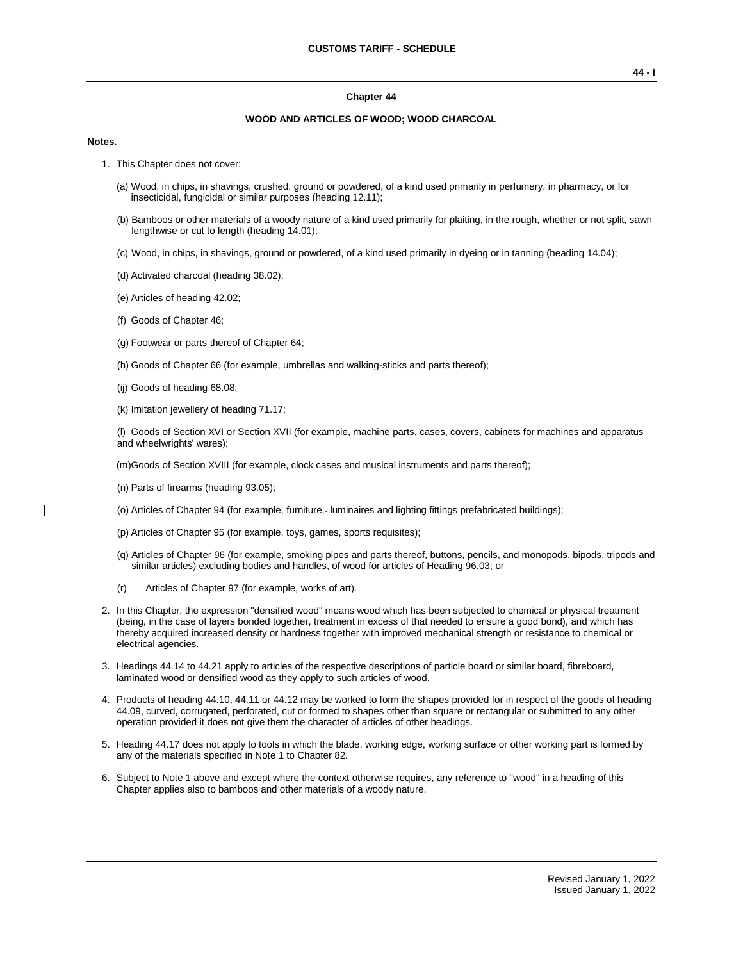#### **Chapter 44**

#### **WOOD AND ARTICLES OF WOOD; WOOD CHARCOAL**

#### **Notes.**

- 1. This Chapter does not cover:
	- (a) Wood, in chips, in shavings, crushed, ground or powdered, of a kind used primarily in perfumery, in pharmacy, or for insecticidal, fungicidal or similar purposes (heading 12.11);
	- (b) Bamboos or other materials of a woody nature of a kind used primarily for plaiting, in the rough, whether or not split, sawn lengthwise or cut to length (heading 14.01);
	- (c) Wood, in chips, in shavings, ground or powdered, of a kind used primarily in dyeing or in tanning (heading 14.04);
	- (d) Activated charcoal (heading 38.02);
	- (e) Articles of heading 42.02;
	- (f) Goods of Chapter 46;
	- (g) Footwear or parts thereof of Chapter 64;
	- (h) Goods of Chapter 66 (for example, umbrellas and walking-sticks and parts thereof);
	- (ij) Goods of heading 68.08;
	- (k) Imitation jewellery of heading 71.17;

(l) Goods of Section XVI or Section XVII (for example, machine parts, cases, covers, cabinets for machines and apparatus and wheelwrights' wares);

(m)Goods of Section XVIII (for example, clock cases and musical instruments and parts thereof);

- (n) Parts of firearms (heading 93.05);
- (o) Articles of Chapter 94 (for example, furniture, luminaires and lighting fittings prefabricated buildings);
- (p) Articles of Chapter 95 (for example, toys, games, sports requisites);
- (q) Articles of Chapter 96 (for example, smoking pipes and parts thereof, buttons, pencils, and monopods, bipods, tripods and similar articles) excluding bodies and handles, of wood for articles of Heading 96.03; or
- (r) Articles of Chapter 97 (for example, works of art).
- 2. In this Chapter, the expression "densified wood" means wood which has been subjected to chemical or physical treatment (being, in the case of layers bonded together, treatment in excess of that needed to ensure a good bond), and which has thereby acquired increased density or hardness together with improved mechanical strength or resistance to chemical or electrical agencies.
- 3. Headings 44.14 to 44.21 apply to articles of the respective descriptions of particle board or similar board, fibreboard, laminated wood or densified wood as they apply to such articles of wood.
- 4. Products of heading 44.10, 44.11 or 44.12 may be worked to form the shapes provided for in respect of the goods of heading 44.09, curved, corrugated, perforated, cut or formed to shapes other than square or rectangular or submitted to any other operation provided it does not give them the character of articles of other headings.
- 5. Heading 44.17 does not apply to tools in which the blade, working edge, working surface or other working part is formed by any of the materials specified in Note 1 to Chapter 82.
- 6. Subject to Note 1 above and except where the context otherwise requires, any reference to "wood" in a heading of this Chapter applies also to bamboos and other materials of a woody nature.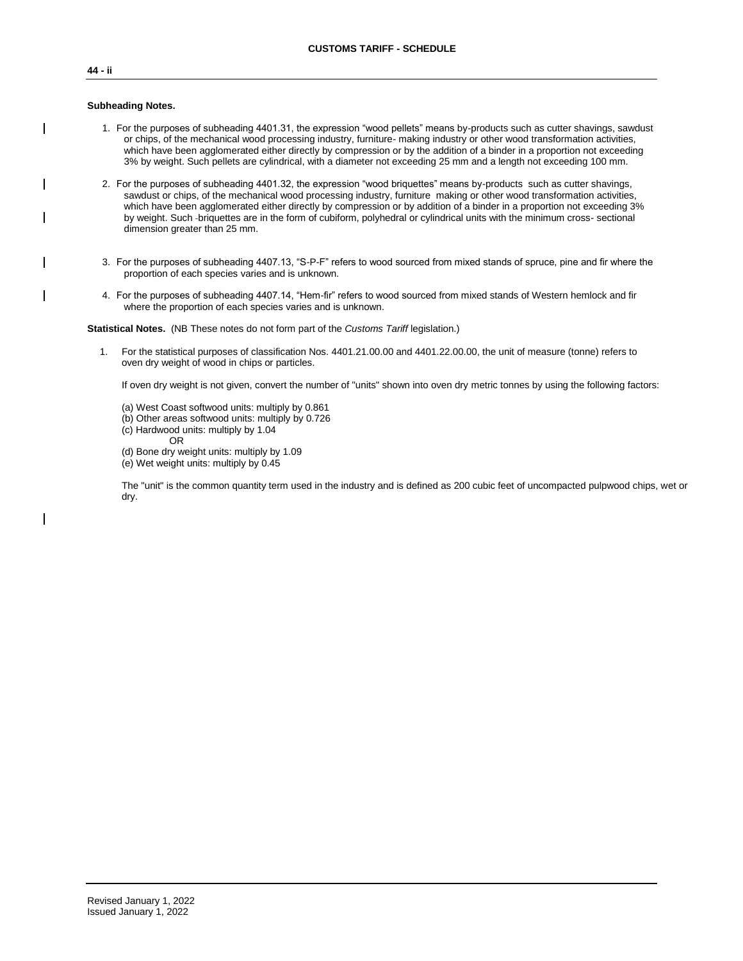# **44 - ii**

#### **Subheading Notes.**

- 1. For the purposes of subheading 4401.31, the expression "wood pellets" means by-products such as cutter shavings, sawdust or chips, of the mechanical wood processing industry, furniture- making industry or other wood transformation activities, which have been agglomerated either directly by compression or by the addition of a binder in a proportion not exceeding 3% by weight. Such pellets are cylindrical, with a diameter not exceeding 25 mm and a length not exceeding 100 mm.
- 2. For the purposes of subheading 4401.32, the expression "wood briquettes" means by-products such as cutter shavings, sawdust or chips, of the mechanical wood processing industry, furniture making or other wood transformation activities, which have been agglomerated either directly by compression or by addition of a binder in a proportion not exceeding 3% by weight. Such -briquettes are in the form of cubiform, polyhedral or cylindrical units with the minimum cross- sectional dimension greater than 25 mm.
- 3. For the purposes of subheading 4407.13, "S-P-F" refers to wood sourced from mixed stands of spruce, pine and fir where the proportion of each species varies and is unknown.
- 4. For the purposes of subheading 4407.14, "Hem-fir" refers to wood sourced from mixed stands of Western hemlock and fir where the proportion of each species varies and is unknown.

**Statistical Notes.** (NB These notes do not form part of the *Customs Tariff* legislation.)

1. For the statistical purposes of classification Nos. 4401.21.00.00 and 4401.22.00.00, the unit of measure (tonne) refers to oven dry weight of wood in chips or particles.

If oven dry weight is not given, convert the number of "units" shown into oven dry metric tonnes by using the following factors:

- (a) West Coast softwood units: multiply by 0.861
- (b) Other areas softwood units: multiply by 0.726
- (c) Hardwood units: multiply by 1.04
	- OR
- (d) Bone dry weight units: multiply by 1.09
- (e) Wet weight units: multiply by 0.45

The "unit" is the common quantity term used in the industry and is defined as 200 cubic feet of uncompacted pulpwood chips, wet or dry.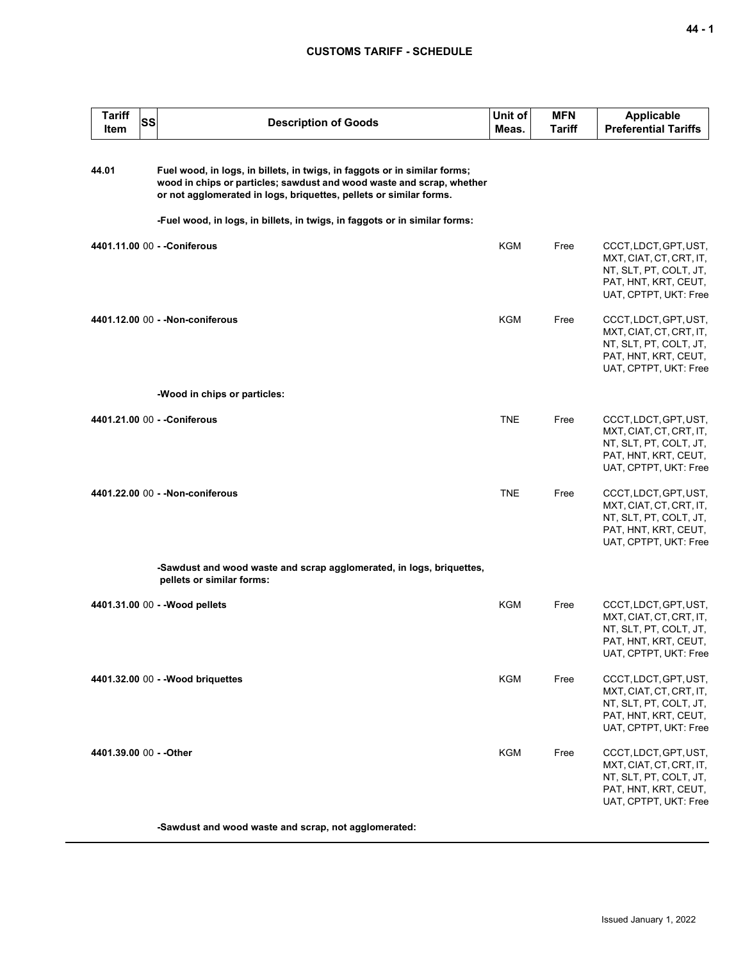| <b>Tariff</b><br>SS<br>Item | <b>Description of Goods</b>                                                                                                                                                                                              | Unit of<br>Meas. | <b>MFN</b><br>Tariff | <b>Applicable</b><br><b>Preferential Tariffs</b>                                                                            |
|-----------------------------|--------------------------------------------------------------------------------------------------------------------------------------------------------------------------------------------------------------------------|------------------|----------------------|-----------------------------------------------------------------------------------------------------------------------------|
| 44.01                       | Fuel wood, in logs, in billets, in twigs, in faggots or in similar forms;<br>wood in chips or particles; sawdust and wood waste and scrap, whether<br>or not agglomerated in logs, briquettes, pellets or similar forms. |                  |                      |                                                                                                                             |
|                             | -Fuel wood, in logs, in billets, in twigs, in faggots or in similar forms:                                                                                                                                               |                  |                      |                                                                                                                             |
|                             | 4401.11.00 00 - - Coniferous                                                                                                                                                                                             | KGM              | Free                 | CCCT, LDCT, GPT, UST,<br>MXT, CIAT, CT, CRT, IT,<br>NT, SLT, PT, COLT, JT,<br>PAT, HNT, KRT, CEUT,<br>UAT, CPTPT, UKT: Free |
|                             | 4401.12.00 00 - - Non-coniferous                                                                                                                                                                                         | KGM              | Free                 | CCCT, LDCT, GPT, UST,<br>MXT, CIAT, CT, CRT, IT,<br>NT, SLT, PT, COLT, JT,<br>PAT, HNT, KRT, CEUT,<br>UAT, CPTPT, UKT: Free |
|                             | -Wood in chips or particles:                                                                                                                                                                                             |                  |                      |                                                                                                                             |
|                             | 4401.21.00 00 - - Coniferous                                                                                                                                                                                             | <b>TNE</b>       | Free                 | CCCT, LDCT, GPT, UST,<br>MXT, CIAT, CT, CRT, IT,<br>NT, SLT, PT, COLT, JT,<br>PAT, HNT, KRT, CEUT,<br>UAT, CPTPT, UKT: Free |
|                             | 4401.22.00 00 - - Non-coniferous                                                                                                                                                                                         | <b>TNE</b>       | Free                 | CCCT, LDCT, GPT, UST,<br>MXT, CIAT, CT, CRT, IT,<br>NT, SLT, PT, COLT, JT,<br>PAT, HNT, KRT, CEUT,<br>UAT, CPTPT, UKT: Free |
|                             | -Sawdust and wood waste and scrap agglomerated, in logs, briquettes,<br>pellets or similar forms:                                                                                                                        |                  |                      |                                                                                                                             |
|                             | 4401.31.00 00 - - Wood pellets                                                                                                                                                                                           | <b>KGM</b>       | Free                 | CCCT, LDCT, GPT, UST,<br>MXT, CIAT, CT, CRT, IT,<br>NT, SLT, PT, COLT, JT,<br>PAT, HNT, KRT, CEUT,<br>UAT, CPTPT, UKT: Free |
|                             | 4401.32.00 00 - - Wood briquettes                                                                                                                                                                                        | KGM              | Free                 | CCCT, LDCT, GPT, UST,<br>MXT, CIAT, CT, CRT, IT,<br>NT, SLT, PT, COLT, JT,<br>PAT, HNT, KRT, CEUT,<br>UAT, CPTPT, UKT: Free |
| 4401.39.00 00 - - Other     |                                                                                                                                                                                                                          | KGM              | Free                 | CCCT, LDCT, GPT, UST,<br>MXT, CIAT, CT, CRT, IT,<br>NT, SLT, PT, COLT, JT,<br>PAT, HNT, KRT, CEUT,<br>UAT, CPTPT, UKT: Free |
|                             | -Sawdust and wood waste and scrap, not agglomerated:                                                                                                                                                                     |                  |                      |                                                                                                                             |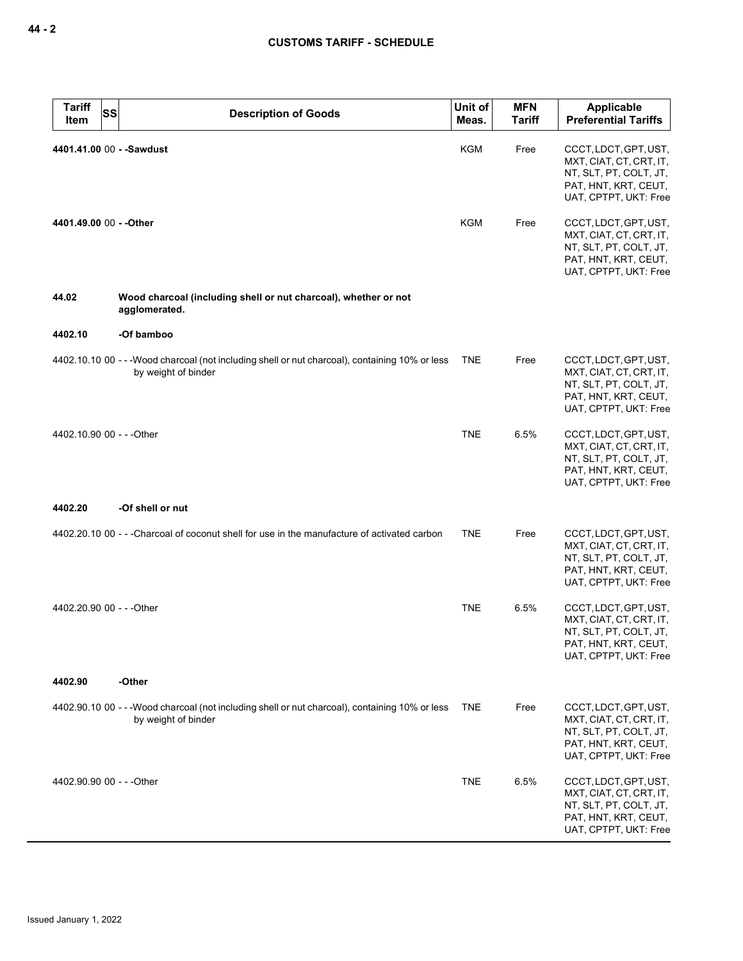| <b>Tariff</b><br>SS<br>Item | <b>Description of Goods</b>                                                                                            | Unit of<br>Meas. | <b>MFN</b><br><b>Tariff</b> | <b>Applicable</b><br><b>Preferential Tariffs</b>                                                                            |
|-----------------------------|------------------------------------------------------------------------------------------------------------------------|------------------|-----------------------------|-----------------------------------------------------------------------------------------------------------------------------|
| 4401.41.00 00 - - Sawdust   |                                                                                                                        | <b>KGM</b>       | Free                        | CCCT, LDCT, GPT, UST,<br>MXT, CIAT, CT, CRT, IT,<br>NT, SLT, PT, COLT, JT,<br>PAT, HNT, KRT, CEUT,<br>UAT, CPTPT, UKT: Free |
| 4401.49.00 00 - - Other     |                                                                                                                        | KGM              | Free                        | CCCT, LDCT, GPT, UST,<br>MXT, CIAT, CT, CRT, IT,<br>NT, SLT, PT, COLT, JT,<br>PAT, HNT, KRT, CEUT,<br>UAT, CPTPT, UKT: Free |
| 44.02                       | Wood charcoal (including shell or nut charcoal), whether or not<br>agglomerated.                                       |                  |                             |                                                                                                                             |
| 4402.10                     | -Of bamboo                                                                                                             |                  |                             |                                                                                                                             |
|                             | 4402.10.10 00 - - - Wood charcoal (not including shell or nut charcoal), containing 10% or less<br>by weight of binder | <b>TNE</b>       | Free                        | CCCT, LDCT, GPT, UST,<br>MXT, CIAT, CT, CRT, IT,<br>NT, SLT, PT, COLT, JT,<br>PAT, HNT, KRT, CEUT,<br>UAT, CPTPT, UKT: Free |
| 4402.10.90 00 - - - Other   |                                                                                                                        | <b>TNE</b>       | 6.5%                        | CCCT, LDCT, GPT, UST,<br>MXT, CIAT, CT, CRT, IT,<br>NT, SLT, PT, COLT, JT,<br>PAT, HNT, KRT, CEUT,<br>UAT, CPTPT, UKT: Free |
| 4402.20                     | -Of shell or nut                                                                                                       |                  |                             |                                                                                                                             |
|                             | 4402.20.10 00 - - - Charcoal of coconut shell for use in the manufacture of activated carbon                           | <b>TNE</b>       | Free                        | CCCT, LDCT, GPT, UST,<br>MXT, CIAT, CT, CRT, IT,<br>NT, SLT, PT, COLT, JT,<br>PAT, HNT, KRT, CEUT,<br>UAT, CPTPT, UKT: Free |
| 4402.20.90 00 - - - Other   |                                                                                                                        | <b>TNE</b>       | 6.5%                        | CCCT, LDCT, GPT, UST,<br>MXT, CIAT, CT, CRT, IT,<br>NT, SLT, PT, COLT, JT,<br>PAI, HNI, KRI, CEUI,<br>UAT, CPTPT, UKT: Free |
| 4402.90                     | -Other                                                                                                                 |                  |                             |                                                                                                                             |
|                             | 4402.90.10 00 - - - Wood charcoal (not including shell or nut charcoal), containing 10% or less<br>by weight of binder | <b>TNE</b>       | Free                        | CCCT, LDCT, GPT, UST,<br>MXT, CIAT, CT, CRT, IT,<br>NT, SLT, PT, COLT, JT,<br>PAT, HNT, KRT, CEUT,<br>UAT, CPTPT, UKT: Free |
| 4402.90.90 00 - - - Other   |                                                                                                                        | TNE              | 6.5%                        | CCCT, LDCT, GPT, UST,<br>MXT, CIAT, CT, CRT, IT,<br>NT, SLT, PT, COLT, JT,<br>PAT, HNT, KRT, CEUT,<br>UAT, CPTPT, UKT: Free |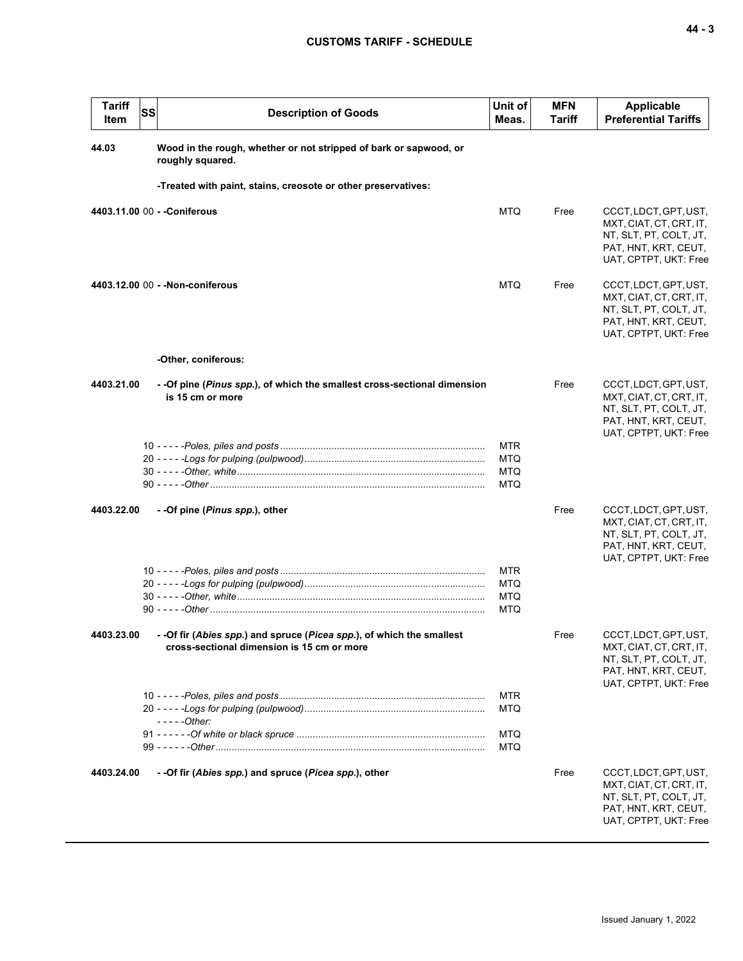| <b>Tariff</b><br>Item | SS<br><b>Description of Goods</b>                                                                                   | Unit of<br>Meas.                                     | <b>MFN</b><br><b>Tariff</b> | Applicable<br><b>Preferential Tariffs</b>                                                                                   |
|-----------------------|---------------------------------------------------------------------------------------------------------------------|------------------------------------------------------|-----------------------------|-----------------------------------------------------------------------------------------------------------------------------|
| 44.03                 | Wood in the rough, whether or not stripped of bark or sapwood, or<br>roughly squared.                               |                                                      |                             |                                                                                                                             |
|                       | -Treated with paint, stains, creosote or other preservatives:                                                       |                                                      |                             |                                                                                                                             |
|                       | 4403.11.00 00 - - Coniferous                                                                                        | <b>MTQ</b>                                           | Free                        | CCCT, LDCT, GPT, UST,<br>MXT, CIAT, CT, CRT, IT,<br>NT, SLT, PT, COLT, JT,<br>PAT, HNT, KRT, CEUT,<br>UAT, CPTPT, UKT: Free |
|                       | 4403.12.00 00 - - Non-coniferous                                                                                    | <b>MTQ</b>                                           | Free                        | CCCT, LDCT, GPT, UST,<br>MXT, CIAT, CT, CRT, IT,<br>NT, SLT, PT, COLT, JT,<br>PAT, HNT, KRT, CEUT,<br>UAT, CPTPT, UKT: Free |
|                       | -Other, coniferous:                                                                                                 |                                                      |                             |                                                                                                                             |
| 4403.21.00            | - -Of pine (Pinus spp.), of which the smallest cross-sectional dimension<br>is 15 cm or more                        |                                                      | Free                        | CCCT, LDCT, GPT, UST,<br>MXT, CIAT, CT, CRT, IT,<br>NT, SLT, PT, COLT, JT,<br>PAT, HNT, KRT, CEUT,<br>UAT, CPTPT, UKT: Free |
|                       |                                                                                                                     | <b>MTR</b><br><b>MTQ</b><br><b>MTQ</b><br>MTQ        |                             |                                                                                                                             |
| 4403.22.00            | - -Of pine (Pinus spp.), other                                                                                      |                                                      | Free                        | CCCT, LDCT, GPT, UST,<br>MXT, CIAT, CT, CRT, IT,<br>NT, SLT, PT, COLT, JT,<br>PAT, HNT, KRT, CEUT,<br>UAT, CPTPT, UKT: Free |
|                       |                                                                                                                     | <b>MTR</b><br><b>MTQ</b><br><b>MTQ</b><br><b>MTQ</b> |                             |                                                                                                                             |
| 4403.23.00            | - -Of fir (Abies spp.) and spruce (Picea spp.), of which the smallest<br>cross-sectional dimension is 15 cm or more |                                                      | Free                        | CCCT, LDCT, GPT, UST,<br>MXT, CIAT, CT, CRT, IT,<br>NT, SLT, PT, COLT, JT,<br>PAT, HNT, KRT, CEUT,<br>UAT, CPTPT, UKT: Free |
|                       | - - - - - Other:                                                                                                    | <b>MTR</b><br><b>MTQ</b><br><b>MTQ</b>               |                             |                                                                                                                             |
| 4403.24.00            | - -Of fir (Abies spp.) and spruce (Picea spp.), other                                                               | <b>MTQ</b>                                           | Free                        | CCCT, LDCT, GPT, UST,<br>MXT, CIAT, CT, CRT, IT,<br>NT, SLT, PT, COLT, JT,<br>PAT, HNT, KRT, CEUT,<br>UAT, CPTPT, UKT: Free |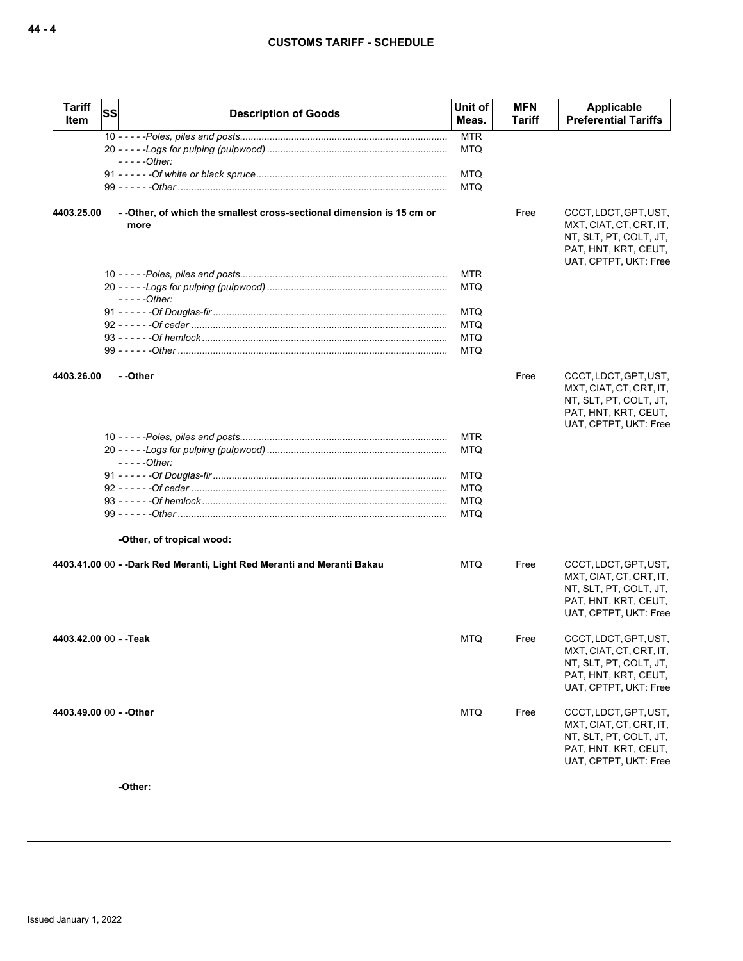| <b>Tariff</b><br>Item   | <b>SS</b> | <b>Description of Goods</b>                                                    | Unit of<br>Meas. | <b>MFN</b><br>Tariff | Applicable<br><b>Preferential Tariffs</b>                                                                                   |
|-------------------------|-----------|--------------------------------------------------------------------------------|------------------|----------------------|-----------------------------------------------------------------------------------------------------------------------------|
|                         |           |                                                                                | <b>MTR</b>       |                      |                                                                                                                             |
|                         |           | $---Other:$                                                                    | <b>MTQ</b>       |                      |                                                                                                                             |
|                         |           |                                                                                | <b>MTQ</b>       |                      |                                                                                                                             |
|                         |           |                                                                                | <b>MTQ</b>       |                      |                                                                                                                             |
| 4403.25.00              |           | - - Other, of which the smallest cross-sectional dimension is 15 cm or<br>more |                  | Free                 | CCCT, LDCT, GPT, UST,<br>MXT, CIAT, CT, CRT, IT,                                                                            |
|                         |           |                                                                                |                  |                      | NT, SLT, PT, COLT, JT,<br>PAT, HNT, KRT, CEUT,<br>UAT, CPTPT, UKT: Free                                                     |
|                         |           |                                                                                | <b>MTR</b>       |                      |                                                                                                                             |
|                         |           | $---Other:$                                                                    | MTQ              |                      |                                                                                                                             |
|                         |           |                                                                                | <b>MTQ</b>       |                      |                                                                                                                             |
|                         |           |                                                                                | <b>MTQ</b>       |                      |                                                                                                                             |
|                         |           |                                                                                | MTQ              |                      |                                                                                                                             |
|                         |           |                                                                                | MTQ              |                      |                                                                                                                             |
| 4403.26.00              |           | - -Other                                                                       |                  | Free                 | CCCT, LDCT, GPT, UST,<br>MXT, CIAT, CT, CRT, IT,<br>NT, SLT, PT, COLT, JT,<br>PAT, HNT, KRT, CEUT,<br>UAT, CPTPT, UKT: Free |
|                         |           |                                                                                | MTR              |                      |                                                                                                                             |
|                         |           | $---Other:$                                                                    | <b>MTQ</b>       |                      |                                                                                                                             |
|                         |           |                                                                                | MTQ              |                      |                                                                                                                             |
|                         |           |                                                                                | <b>MTQ</b>       |                      |                                                                                                                             |
|                         |           |                                                                                | <b>MTQ</b>       |                      |                                                                                                                             |
|                         |           |                                                                                | <b>MTQ</b>       |                      |                                                                                                                             |
|                         |           | -Other, of tropical wood:                                                      |                  |                      |                                                                                                                             |
|                         |           | 4403.41.00 00 - -Dark Red Meranti, Light Red Meranti and Meranti Bakau         | <b>MTQ</b>       | Free                 | CCCT, LDCT, GPT, UST,<br>MXT, CIAT, CT, CRT, IT,<br>NT, SLT, PT, COLT, JT,<br>PAT, HNT, KRT, CEUT,<br>UAT, CPTPT, UKT: Free |
| 4403.42.00 00 - -Teak   |           |                                                                                | MTQ              | Free                 | CCCT, LDCT, GPT, UST,<br>MXT, CIAT, CT, CRT, IT,<br>NT, SLT, PT, COLT, JT,<br>PAT, HNT, KRT, CEUT,<br>UAT, CPTPT, UKT: Free |
| 4403.49.00 00 - - Other |           |                                                                                | <b>MTQ</b>       | Free                 | CCCT, LDCT, GPT, UST,<br>MXT, CIAT, CT, CRT, IT,<br>NT, SLT, PT, COLT, JT,<br>PAT, HNT, KRT, CEUT,<br>UAT, CPTPT, UKT: Free |

**-Other:**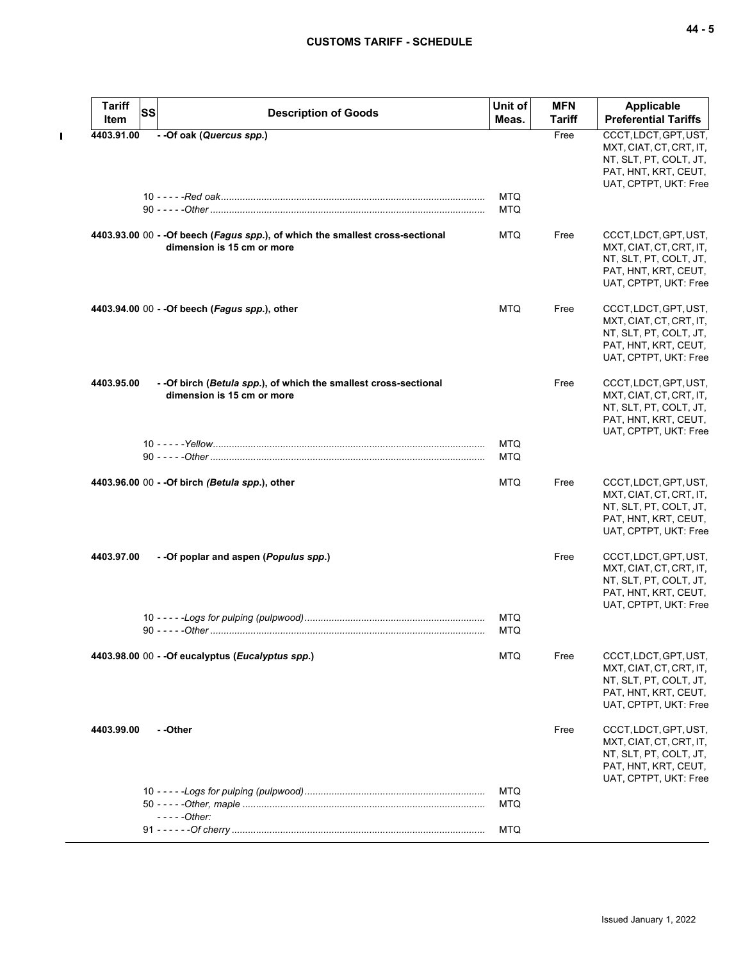$\mathbf{I}$ 

| <b>Tariff</b><br>SS<br>Item | <b>Description of Goods</b>                                                                                  | Unit of<br>Meas.         | <b>MFN</b><br><b>Tariff</b> | <b>Applicable</b><br><b>Preferential Tariffs</b>                                                                            |
|-----------------------------|--------------------------------------------------------------------------------------------------------------|--------------------------|-----------------------------|-----------------------------------------------------------------------------------------------------------------------------|
| 4403.91.00                  | - - Of oak (Quercus spp.)                                                                                    |                          | Free                        | CCCT, LDCT, GPT, UST,                                                                                                       |
|                             |                                                                                                              |                          |                             | MXT, CIAT, CT, CRT, IT,<br>NT, SLT, PT, COLT, JT,<br>PAT, HNT, KRT, CEUT,<br>UAT, CPTPT, UKT: Free                          |
|                             |                                                                                                              | <b>MTQ</b><br><b>MTQ</b> |                             |                                                                                                                             |
|                             | 4403.93.00 00 - - Of beech (Fagus spp.), of which the smallest cross-sectional<br>dimension is 15 cm or more | MTQ                      | Free                        | CCCT, LDCT, GPT, UST,<br>MXT, CIAT, CT, CRT, IT,<br>NT, SLT, PT, COLT, JT,<br>PAT, HNT, KRT, CEUT,<br>UAT, CPTPT, UKT: Free |
|                             | 4403.94.00 00 - - Of beech (Fagus spp.), other                                                               | <b>MTQ</b>               | Free                        | CCCT, LDCT, GPT, UST,<br>MXT, CIAT, CT, CRT, IT,<br>NT, SLT, PT, COLT, JT,<br>PAT, HNT, KRT, CEUT,<br>UAT, CPTPT, UKT: Free |
| 4403.95.00                  | - - Of birch (Betula spp.), of which the smallest cross-sectional<br>dimension is 15 cm or more              |                          | Free                        | CCCT, LDCT, GPT, UST,<br>MXT, CIAT, CT, CRT, IT,<br>NT, SLT, PT, COLT, JT,<br>PAT, HNT, KRT, CEUT,<br>UAT, CPTPT, UKT: Free |
|                             |                                                                                                              | <b>MTQ</b><br><b>MTQ</b> |                             |                                                                                                                             |
|                             | 4403.96.00 00 - - Of birch (Betula spp.), other                                                              | <b>MTQ</b>               | Free                        | CCCT, LDCT, GPT, UST,<br>MXT, CIAT, CT, CRT, IT,<br>NT, SLT, PT, COLT, JT,<br>PAT, HNT, KRT, CEUT,<br>UAT, CPTPT, UKT: Free |
| 4403.97.00                  | - -Of poplar and aspen (Populus spp.)                                                                        |                          | Free                        | CCCT, LDCT, GPT, UST,<br>MXT, CIAT, CT, CRT, IT,<br>NT, SLT, PT, COLT, JT,<br>PAT, HNT, KRT, CEUT,<br>UAT, CPTPT, UKT: Free |
|                             |                                                                                                              | <b>MTQ</b><br><b>MTQ</b> |                             |                                                                                                                             |
|                             | 4403.98.00 00 - - Of eucalyptus (Eucalyptus spp.)                                                            | <b>MTQ</b>               | Free                        | CCCT, LDCT, GPT, UST,<br>MXT, CIAT, CT, CRT, IT,<br>NT, SLT, PT, COLT, JT,<br>PAT, HNT, KRT, CEUT,<br>UAT, CPTPT, UKT: Free |
| 4403.99.00                  | - -Other                                                                                                     |                          | Free                        | CCCT, LDCT, GPT, UST,<br>MXT, CIAT, CT, CRT, IT,<br>NT, SLT, PT, COLT, JT,<br>PAT, HNT, KRT, CEUT,<br>UAT, CPTPT, UKT: Free |
|                             | $---Other:$                                                                                                  | <b>MTQ</b><br><b>MTQ</b> |                             |                                                                                                                             |
|                             |                                                                                                              | <b>MTQ</b>               |                             |                                                                                                                             |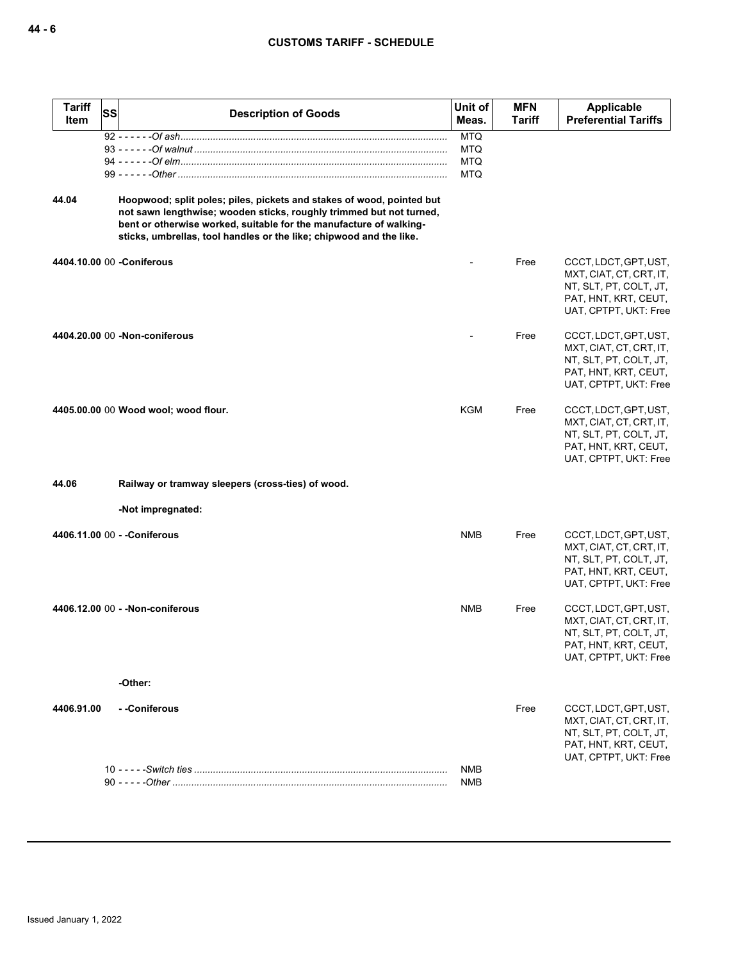| <b>Tariff</b><br><b>Item</b> | SS | <b>Description of Goods</b>                                                                                                                                                                                                                                                               | Unit of<br>Meas.                                     | <b>MFN</b><br><b>Tariff</b> | <b>Applicable</b><br><b>Preferential Tariffs</b>                                                                            |
|------------------------------|----|-------------------------------------------------------------------------------------------------------------------------------------------------------------------------------------------------------------------------------------------------------------------------------------------|------------------------------------------------------|-----------------------------|-----------------------------------------------------------------------------------------------------------------------------|
|                              |    |                                                                                                                                                                                                                                                                                           | <b>MTQ</b><br><b>MTQ</b><br><b>MTQ</b><br><b>MTQ</b> |                             |                                                                                                                             |
| 44.04                        |    | Hoopwood; split poles; piles, pickets and stakes of wood, pointed but<br>not sawn lengthwise; wooden sticks, roughly trimmed but not turned,<br>bent or otherwise worked, suitable for the manufacture of walking-<br>sticks, umbrellas, tool handles or the like; chipwood and the like. |                                                      |                             |                                                                                                                             |
|                              |    | 4404.10.00 00 - Coniferous                                                                                                                                                                                                                                                                |                                                      | Free                        | CCCT, LDCT, GPT, UST,<br>MXT, CIAT, CT, CRT, IT,<br>NT, SLT, PT, COLT, JT,<br>PAT, HNT, KRT, CEUT,<br>UAT, CPTPT, UKT: Free |
|                              |    | 4404.20.00 00 -Non-coniferous                                                                                                                                                                                                                                                             |                                                      | Free                        | CCCT, LDCT, GPT, UST,<br>MXT, CIAT, CT, CRT, IT,<br>NT, SLT, PT, COLT, JT,<br>PAT, HNT, KRT, CEUT,<br>UAT, CPTPT, UKT: Free |
|                              |    | 4405.00.00 00 Wood wool; wood flour.                                                                                                                                                                                                                                                      | <b>KGM</b>                                           | Free                        | CCCT, LDCT, GPT, UST,<br>MXT, CIAT, CT, CRT, IT,<br>NT, SLT, PT, COLT, JT,<br>PAT, HNT, KRT, CEUT,<br>UAT, CPTPT, UKT: Free |
| 44.06                        |    | Railway or tramway sleepers (cross-ties) of wood.                                                                                                                                                                                                                                         |                                                      |                             |                                                                                                                             |
|                              |    | -Not impregnated:                                                                                                                                                                                                                                                                         |                                                      |                             |                                                                                                                             |
|                              |    | 4406.11.00 00 - - Coniferous                                                                                                                                                                                                                                                              | <b>NMB</b>                                           | Free                        | CCCT, LDCT, GPT, UST,<br>MXT, CIAT, CT, CRT, IT,<br>NT, SLT, PT, COLT, JT,<br>PAT, HNT, KRT, CEUT,<br>UAT, CPTPT, UKT: Free |
|                              |    | 4406.12.00 00 - - Non-coniferous                                                                                                                                                                                                                                                          | <b>NMB</b>                                           | Free                        | CCCT, LDCT, GPT, UST,<br>MXT, CIAT, CT, CRT, IT,<br>NT, SLT, PT, COLT, JT,<br>PAT, HNT, KRT, CEUT,<br>UAT, CPTPT, UKT: Free |
|                              |    | -Other:                                                                                                                                                                                                                                                                                   |                                                      |                             |                                                                                                                             |
| 4406.91.00                   |    | - -Coniferous                                                                                                                                                                                                                                                                             |                                                      | Free                        | CCCT, LDCT, GPT, UST,<br>MXT, CIAT, CT, CRT, IT,<br>NT, SLT, PT, COLT, JT,<br>PAT, HNT, KRT, CEUT,<br>UAT, CPTPT, UKT: Free |
|                              |    |                                                                                                                                                                                                                                                                                           | NMB<br>NMB                                           |                             |                                                                                                                             |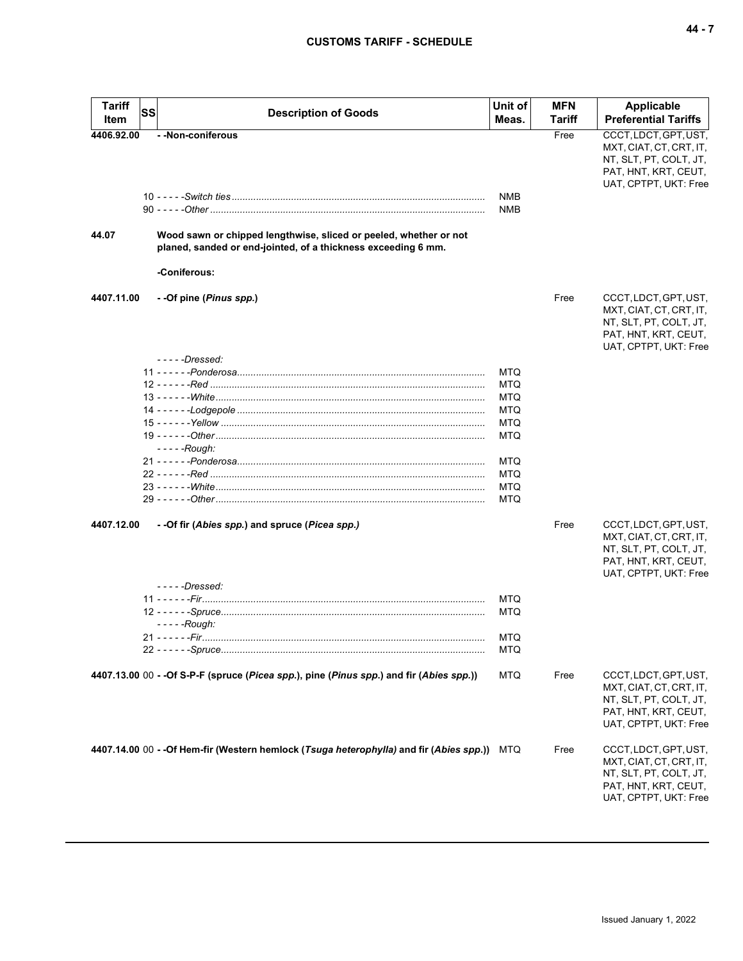| <b>Tariff</b> | SS |                                                                                          | Unit of           | <b>MFN</b> | <b>Applicable</b>                             |
|---------------|----|------------------------------------------------------------------------------------------|-------------------|------------|-----------------------------------------------|
| Item          |    | <b>Description of Goods</b>                                                              | Meas.             | Tariff     | <b>Preferential Tariffs</b>                   |
| 4406.92.00    |    | - - Non-coniferous                                                                       |                   | Free       | CCCT, LDCT, GPT, UST,                         |
|               |    |                                                                                          |                   |            | MXT, CIAT, CT, CRT, IT,                       |
|               |    |                                                                                          |                   |            | NT, SLT, PT, COLT, JT,                        |
|               |    |                                                                                          |                   |            | PAT, HNT, KRT, CEUT,                          |
|               |    |                                                                                          |                   |            | UAT, CPTPT, UKT: Free                         |
|               |    |                                                                                          | <b>NMB</b><br>NMB |            |                                               |
|               |    |                                                                                          |                   |            |                                               |
| 44.07         |    | Wood sawn or chipped lengthwise, sliced or peeled, whether or not                        |                   |            |                                               |
|               |    | planed, sanded or end-jointed, of a thickness exceeding 6 mm.                            |                   |            |                                               |
|               |    | -Coniferous:                                                                             |                   |            |                                               |
| 4407.11.00    |    | - -Of pine (Pinus spp.)                                                                  |                   | Free       | CCCT, LDCT, GPT, UST,                         |
|               |    |                                                                                          |                   |            | MXT, CIAT, CT, CRT, IT,                       |
|               |    |                                                                                          |                   |            | NT, SLT, PT, COLT, JT,                        |
|               |    |                                                                                          |                   |            | PAT, HNT, KRT, CEUT,                          |
|               |    |                                                                                          |                   |            | UAT, CPTPT, UKT: Free                         |
|               |    | - - - - -Dressed:                                                                        |                   |            |                                               |
|               |    |                                                                                          | <b>MTQ</b>        |            |                                               |
|               |    |                                                                                          | MTQ               |            |                                               |
|               |    |                                                                                          | MTQ               |            |                                               |
|               |    |                                                                                          | MTQ<br><b>MTQ</b> |            |                                               |
|               |    |                                                                                          | MTQ               |            |                                               |
|               |    | - - - - -Rough:                                                                          |                   |            |                                               |
|               |    |                                                                                          | MTQ               |            |                                               |
|               |    |                                                                                          | <b>MTQ</b>        |            |                                               |
|               |    |                                                                                          | MTQ               |            |                                               |
|               |    |                                                                                          | MTQ               |            |                                               |
| 4407.12.00    |    | - -Of fir (Abies spp.) and spruce (Picea spp.)                                           |                   | Free       | CCCT, LDCT, GPT, UST,                         |
|               |    |                                                                                          |                   |            | MXT, CIAT, CT, CRT, IT,                       |
|               |    |                                                                                          |                   |            | NT, SLT, PT, COLT, JT,                        |
|               |    |                                                                                          |                   |            | PAT, HNT, KRT, CEUT,                          |
|               |    |                                                                                          |                   |            | UAT, CPTPT, UKT: Free                         |
|               |    | $---Dressed:$                                                                            |                   |            |                                               |
|               |    | <u> 11 - - - - - -Fir………………………………………………………………………………………</u>                               | MTQ               |            |                                               |
|               |    |                                                                                          | MTQ               |            |                                               |
|               |    | - - - - -Rough:                                                                          |                   |            |                                               |
|               |    |                                                                                          | MTQ               |            |                                               |
|               |    |                                                                                          | MTQ               |            |                                               |
|               |    | 4407.13.00 00 - -Of S-P-F (spruce (Picea spp.), pine (Pinus spp.) and fir (Abies spp.))  | <b>MTQ</b>        | Free       | CCCT, LDCT, GPT, UST,                         |
|               |    |                                                                                          |                   |            | MXT, CIAT, CT, CRT, IT,                       |
|               |    |                                                                                          |                   |            | NT, SLT, PT, COLT, JT,                        |
|               |    |                                                                                          |                   |            | PAT, HNT, KRT, CEUT,<br>UAT, CPTPT, UKT: Free |
|               |    |                                                                                          |                   |            |                                               |
|               |    | 4407.14.00 00 - - Of Hem-fir (Western hemlock (Tsuga heterophylla) and fir (Abies spp.)) | MTQ               | Free       | CCCT, LDCT, GPT, UST,                         |
|               |    |                                                                                          |                   |            | MXT, CIAT, CT, CRT, IT,                       |
|               |    |                                                                                          |                   |            | NT, SLT, PT, COLT, JT,                        |
|               |    |                                                                                          |                   |            | PAT, HNT, KRT, CEUT,<br>UAT, CPTPT, UKT: Free |
|               |    |                                                                                          |                   |            |                                               |
|               |    |                                                                                          |                   |            |                                               |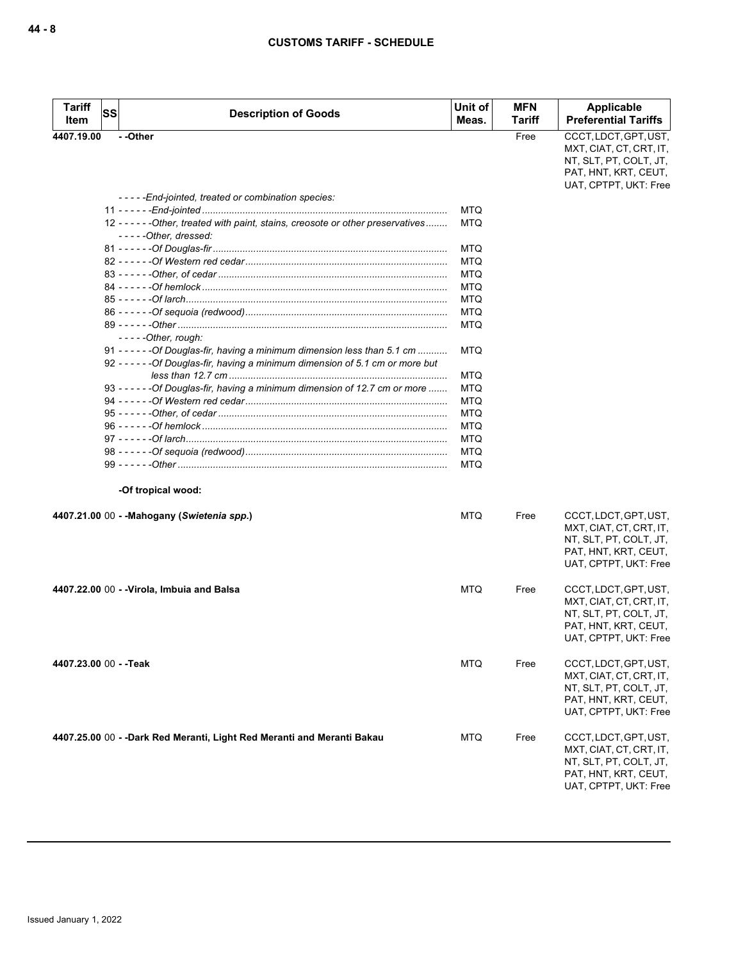| <b>Tariff</b>          | SS |                                                                                                                                                                 | Unit of    | <b>MFN</b> | <b>Applicable</b>                                                                                                           |
|------------------------|----|-----------------------------------------------------------------------------------------------------------------------------------------------------------------|------------|------------|-----------------------------------------------------------------------------------------------------------------------------|
| Item                   |    | <b>Description of Goods</b>                                                                                                                                     | Meas.      | Tariff     | <b>Preferential Tariffs</b>                                                                                                 |
| 4407.19.00             |    | - -Other                                                                                                                                                        |            | Free       | CCCT, LDCT, GPT, UST,<br>MXT, CIAT, CT, CRT, IT,<br>NT, SLT, PT, COLT, JT,<br>PAT, HNT, KRT, CEUT,<br>UAT, CPTPT, UKT: Free |
|                        |    | -----End-jointed, treated or combination species:                                                                                                               |            |            |                                                                                                                             |
|                        |    |                                                                                                                                                                 | <b>MTQ</b> |            |                                                                                                                             |
|                        |    | 12 - - - - - - Other, treated with paint, stains, creosote or other preservatives<br>-----Other, dressed:                                                       | <b>MTQ</b> |            |                                                                                                                             |
|                        |    |                                                                                                                                                                 | MTQ        |            |                                                                                                                             |
|                        |    |                                                                                                                                                                 | <b>MTQ</b> |            |                                                                                                                             |
|                        |    |                                                                                                                                                                 | MTQ        |            |                                                                                                                             |
|                        |    |                                                                                                                                                                 | MTQ        |            |                                                                                                                             |
|                        |    |                                                                                                                                                                 | MTQ        |            |                                                                                                                             |
|                        |    |                                                                                                                                                                 | <b>MTQ</b> |            |                                                                                                                             |
|                        |    | $---Other, rough:$                                                                                                                                              | MTQ        |            |                                                                                                                             |
|                        |    | 91 - - - - - - - Of Douglas-fir, having a minimum dimension less than 5.1 cm<br>92 - - - - - - Of Douglas-fir, having a minimum dimension of 5.1 cm or more but | MTQ        |            |                                                                                                                             |
|                        |    |                                                                                                                                                                 | MTQ        |            |                                                                                                                             |
|                        |    | 93 - - - - - - Of Douglas-fir, having a minimum dimension of 12.7 cm or more                                                                                    | <b>MTQ</b> |            |                                                                                                                             |
|                        |    |                                                                                                                                                                 | <b>MTQ</b> |            |                                                                                                                             |
|                        |    |                                                                                                                                                                 | <b>MTQ</b> |            |                                                                                                                             |
|                        |    |                                                                                                                                                                 | MTQ        |            |                                                                                                                             |
|                        |    |                                                                                                                                                                 | MTQ        |            |                                                                                                                             |
|                        |    |                                                                                                                                                                 | <b>MTQ</b> |            |                                                                                                                             |
|                        |    |                                                                                                                                                                 | <b>MTQ</b> |            |                                                                                                                             |
|                        |    | -Of tropical wood:                                                                                                                                              |            |            |                                                                                                                             |
|                        |    | 4407.21.00 00 - - Mahogany (Swietenia spp.)                                                                                                                     | MTQ        | Free       | CCCT, LDCT, GPT, UST,<br>MXT, CIAT, CT, CRT, IT,<br>NT, SLT, PT, COLT, JT,<br>PAT, HNT, KRT, CEUT,<br>UAT, CPTPT, UKT: Free |
|                        |    | 4407.22.00 00 - -Virola, Imbuia and Balsa                                                                                                                       | <b>MTQ</b> | Free       | CCCT, LDCT, GPT, UST,<br>MXT, CIAT, CT, CRT, IT,<br>NT, SLT, PT, COLT, JT,<br>PAT, HNT, KRT, CEUT,<br>UAT, CPTPT, UKT: Free |
| 4407.23.00 00 - - Teak |    |                                                                                                                                                                 | MTQ        | Free       | CCCT, LDCT, GPT, UST,<br>MXT, CIAT, CT, CRT, IT,<br>NT, SLT, PT, COLT, JT,<br>PAT, HNT, KRT, CEUT,<br>UAT, CPTPT, UKT: Free |
|                        |    | 4407.25.00 00 - -Dark Red Meranti, Light Red Meranti and Meranti Bakau                                                                                          | MTQ        | Free       | CCCT, LDCT, GPT, UST,<br>MXT, CIAT, CT, CRT, IT,<br>NT, SLT, PT, COLT, JT,<br>PAT, HNT, KRT, CEUT,<br>UAT, CPTPT, UKT: Free |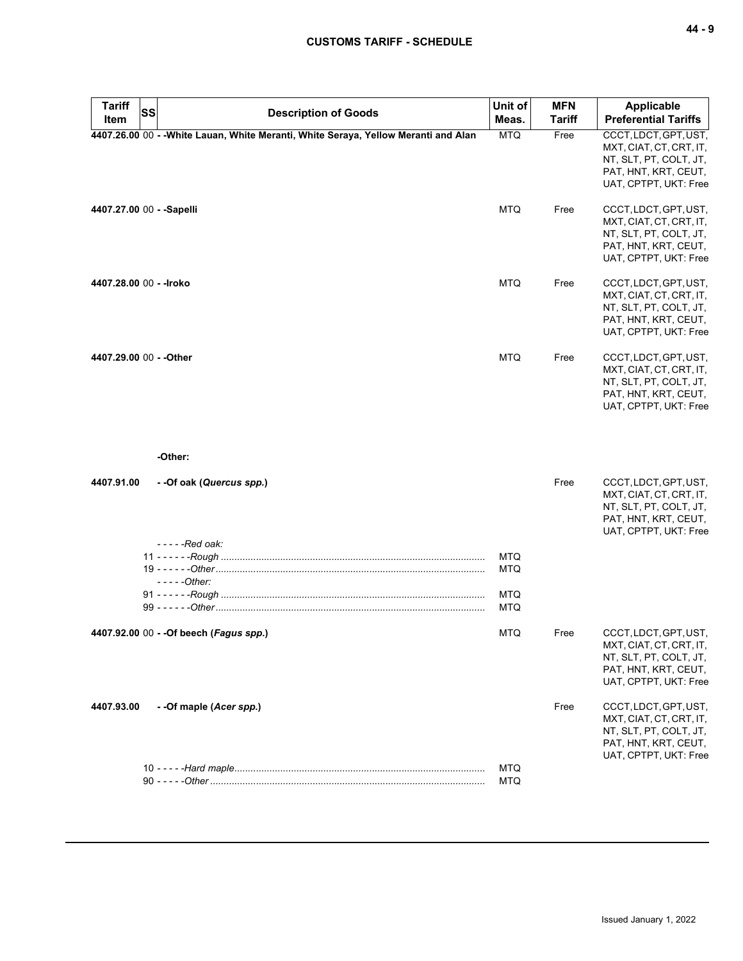| <b>Tariff</b><br><b>SS</b> | <b>Description of Goods</b>                                                         | Unit of                  | <b>MFN</b>    | <b>Applicable</b>                                                                                                           |
|----------------------------|-------------------------------------------------------------------------------------|--------------------------|---------------|-----------------------------------------------------------------------------------------------------------------------------|
| Item                       |                                                                                     | Meas.                    | <b>Tariff</b> | <b>Preferential Tariffs</b>                                                                                                 |
|                            | 4407.26.00 00 - - White Lauan, White Meranti, White Seraya, Yellow Meranti and Alan | <b>MTQ</b>               | Free          | CCCT, LDCT, GPT, UST,<br>MXT, CIAT, CT, CRT, IT,<br>NT, SLT, PT, COLT, JT,<br>PAT, HNT, KRT, CEUT,<br>UAT, CPTPT, UKT: Free |
| 4407.27.00 00 - - Sapelli  |                                                                                     | <b>MTQ</b>               | Free          | CCCT, LDCT, GPT, UST,<br>MXT, CIAT, CT, CRT, IT,<br>NT, SLT, PT, COLT, JT,<br>PAT, HNT, KRT, CEUT,<br>UAT, CPTPT, UKT: Free |
| 4407.28.00 00 - - Iroko    |                                                                                     | <b>MTQ</b>               | Free          | CCCT, LDCT, GPT, UST,<br>MXT, CIAT, CT, CRT, IT,<br>NT, SLT, PT, COLT, JT,<br>PAT, HNT, KRT, CEUT,<br>UAT, CPTPT, UKT: Free |
| 4407.29.00 00 - - Other    | -Other:                                                                             | <b>MTQ</b>               | Free          | CCCT, LDCT, GPT, UST,<br>MXT, CIAT, CT, CRT, IT,<br>NT, SLT, PT, COLT, JT,<br>PAT, HNT, KRT, CEUT,<br>UAT, CPTPT, UKT: Free |
| 4407.91.00                 | --Of oak (Quercus spp.)<br>$---Red$ oak:                                            |                          | Free          | CCCT, LDCT, GPT, UST,<br>MXT, CIAT, CT, CRT, IT,<br>NT, SLT, PT, COLT, JT,<br>PAT, HNT, KRT, CEUT,<br>UAT, CPTPT, UKT: Free |
|                            | $---Other:$                                                                         | <b>MTQ</b><br><b>MTQ</b> |               |                                                                                                                             |
|                            |                                                                                     | <b>MTQ</b><br><b>MTQ</b> |               |                                                                                                                             |
|                            | 4407.92.00 00 - - Of beech (Fagus spp.)                                             | <b>MTQ</b>               | Free          | CCCT, LDCT, GPT, UST,<br>MXI, CIAI, CI, CRI, II,<br>NT, SLT, PT, COLT, JT,<br>PAT, HNT, KRT, CEUT,<br>UAT, CPTPT, UKT: Free |
| 4407.93.00                 | - - Of maple (Acer spp.)                                                            |                          | Free          | CCCT, LDCT, GPT, UST,<br>MXT, CIAT, CT, CRT, IT,<br>NT, SLT, PT, COLT, JT,<br>PAT, HNT, KRT, CEUT,<br>UAT, CPTPT, UKT: Free |
|                            |                                                                                     | <b>MTQ</b><br>MTQ        |               |                                                                                                                             |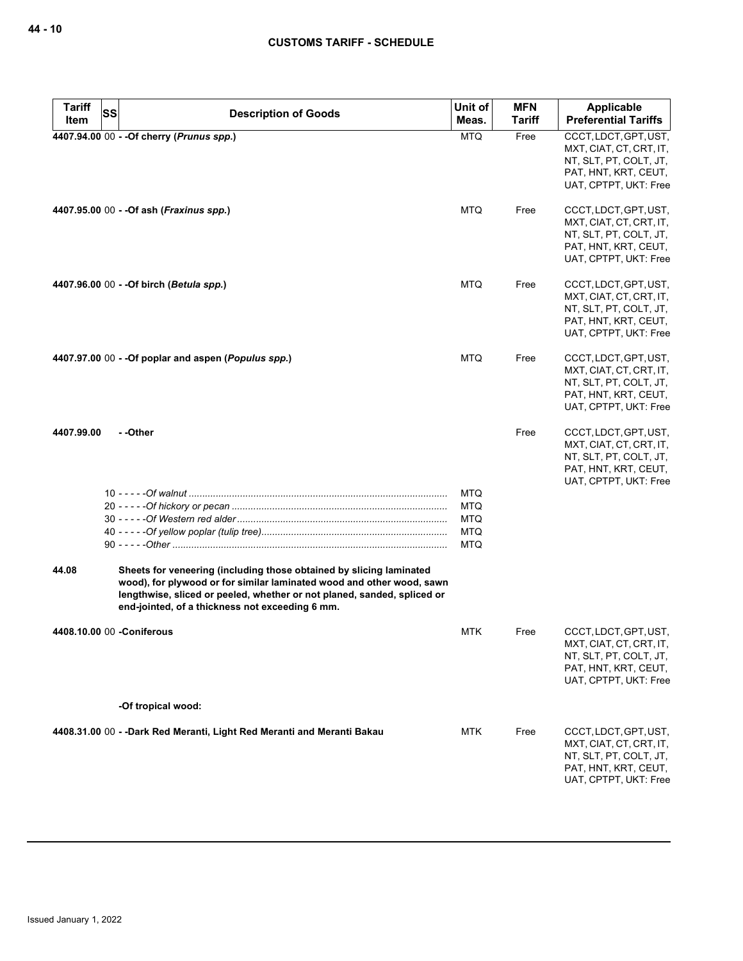| <b>Tariff</b> | SS<br><b>Description of Goods</b>                                                                                                                                                                                                                                          | Unit of                                                     | <b>MFN</b>    | <b>Applicable</b>                                                                                                           |
|---------------|----------------------------------------------------------------------------------------------------------------------------------------------------------------------------------------------------------------------------------------------------------------------------|-------------------------------------------------------------|---------------|-----------------------------------------------------------------------------------------------------------------------------|
| Item          |                                                                                                                                                                                                                                                                            | Meas.                                                       | <b>Tariff</b> | <b>Preferential Tariffs</b>                                                                                                 |
|               | 4407.94.00 00 - - Of cherry (Prunus spp.)                                                                                                                                                                                                                                  | <b>MTQ</b>                                                  | Free          | CCCT, LDCT, GPT, UST,<br>MXT, CIAT, CT, CRT, IT,<br>NT, SLT, PT, COLT, JT,<br>PAT, HNT, KRT, CEUT,<br>UAT, CPTPT, UKT: Free |
|               | 4407.95.00 00 - - Of ash (Fraxinus spp.)                                                                                                                                                                                                                                   | <b>MTQ</b>                                                  | Free          | CCCT, LDCT, GPT, UST,<br>MXT, CIAT, CT, CRT, IT,<br>NT, SLT, PT, COLT, JT,<br>PAT, HNT, KRT, CEUT,<br>UAT, CPTPT, UKT: Free |
|               | 4407.96.00 00 - - Of birch (Betula spp.)                                                                                                                                                                                                                                   | <b>MTQ</b>                                                  | Free          | CCCT, LDCT, GPT, UST,<br>MXT, CIAT, CT, CRT, IT,<br>NT, SLT, PT, COLT, JT,<br>PAT, HNT, KRT, CEUT,<br>UAT, CPTPT, UKT: Free |
|               | $4407.97.00$ 00 - -Of poplar and aspen ( <i>Populus spp.</i> )                                                                                                                                                                                                             | <b>MTQ</b>                                                  | Free          | CCCT, LDCT, GPT, UST,<br>MXT, CIAT, CT, CRT, IT,<br>NT, SLT, PT, COLT, JT,<br>PAT, HNT, KRT, CEUT,<br>UAT, CPTPT, UKT: Free |
| 4407.99.00    | - -Other                                                                                                                                                                                                                                                                   |                                                             | Free          | CCCT, LDCT, GPT, UST,<br>MXT, CIAT, CT, CRT, IT,<br>NT, SLT, PT, COLT, JT,<br>PAT, HNT, KRT, CEUT,<br>UAT, CPTPT, UKT: Free |
|               |                                                                                                                                                                                                                                                                            | <b>MTQ</b><br><b>MTQ</b><br>MTQ<br><b>MTQ</b><br><b>MTQ</b> |               |                                                                                                                             |
| 44.08         | Sheets for veneering (including those obtained by slicing laminated<br>wood), for plywood or for similar laminated wood and other wood, sawn<br>lengthwise, sliced or peeled, whether or not planed, sanded, spliced or<br>end-jointed, of a thickness not exceeding 6 mm. |                                                             |               |                                                                                                                             |
|               | 4408.10.00 00 -Coniferous                                                                                                                                                                                                                                                  | <b>MTK</b>                                                  | Free          | CCCT, LDCT, GPT, UST,<br>MXT, CIAT, CT, CRT, IT,<br>NT, SLT, PT, COLT, JT,<br>PAT, HNT, KRT, CEUT,<br>UAT, CPTPT, UKT: Free |
|               | -Of tropical wood:                                                                                                                                                                                                                                                         |                                                             |               |                                                                                                                             |
|               | 4408.31.00 00 - -Dark Red Meranti, Light Red Meranti and Meranti Bakau                                                                                                                                                                                                     | <b>MTK</b>                                                  | Free          | CCCT, LDCT, GPT, UST,<br>MXT, CIAT, CT, CRT, IT,<br>NT, SLT, PT, COLT, JT,<br>PAT, HNT, KRT, CEUT,<br>UAT, CPTPT, UKT: Free |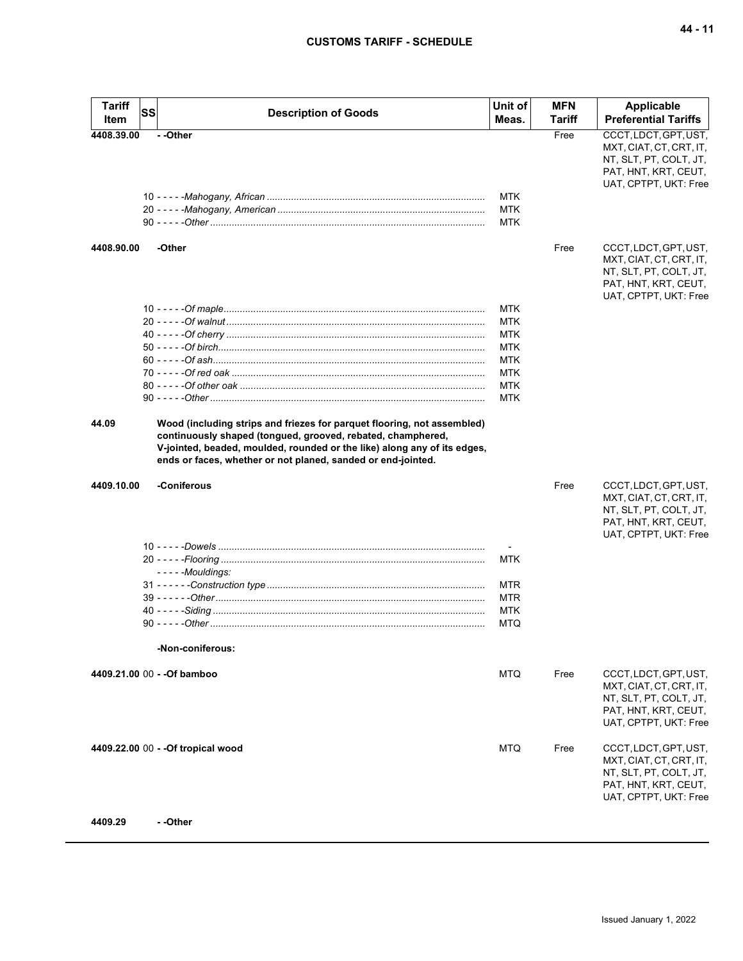| Tariff<br>Item | <b>SS</b><br><b>Description of Goods</b>                                                                                                                                                                                                                                           | Unit of<br>Meas.         | <b>MFN</b><br>Tariff | Applicable<br><b>Preferential Tariffs</b>                                                                                   |
|----------------|------------------------------------------------------------------------------------------------------------------------------------------------------------------------------------------------------------------------------------------------------------------------------------|--------------------------|----------------------|-----------------------------------------------------------------------------------------------------------------------------|
| 4408.39.00     | - -Other                                                                                                                                                                                                                                                                           |                          | Free                 | CCCT, LDCT, GPT, UST,<br>MXT, CIAT, CT, CRT, IT,<br>NT, SLT, PT, COLT, JT,<br>PAT, HNT, KRT, CEUT,<br>UAT, CPTPT, UKT: Free |
|                |                                                                                                                                                                                                                                                                                    | MTK<br>MTK<br><b>MTK</b> |                      |                                                                                                                             |
| 4408.90.00     | -Other                                                                                                                                                                                                                                                                             |                          | Free                 | CCCT, LDCT, GPT, UST,                                                                                                       |
|                |                                                                                                                                                                                                                                                                                    |                          |                      | MXT, CIAT, CT, CRT, IT,<br>NT, SLT, PT, COLT, JT,<br>PAT, HNT, KRT, CEUT,<br>UAT, CPTPT, UKT: Free                          |
|                |                                                                                                                                                                                                                                                                                    | <b>MTK</b>               |                      |                                                                                                                             |
|                |                                                                                                                                                                                                                                                                                    | <b>MTK</b>               |                      |                                                                                                                             |
|                |                                                                                                                                                                                                                                                                                    | <b>MTK</b>               |                      |                                                                                                                             |
|                |                                                                                                                                                                                                                                                                                    | <b>MTK</b>               |                      |                                                                                                                             |
|                |                                                                                                                                                                                                                                                                                    | <b>MTK</b>               |                      |                                                                                                                             |
|                |                                                                                                                                                                                                                                                                                    | <b>MTK</b>               |                      |                                                                                                                             |
|                |                                                                                                                                                                                                                                                                                    | <b>MTK</b>               |                      |                                                                                                                             |
|                |                                                                                                                                                                                                                                                                                    | <b>MTK</b>               |                      |                                                                                                                             |
| 44.09          | Wood (including strips and friezes for parquet flooring, not assembled)<br>continuously shaped (tongued, grooved, rebated, champhered,<br>V-jointed, beaded, moulded, rounded or the like) along any of its edges,<br>ends or faces, whether or not planed, sanded or end-jointed. |                          |                      |                                                                                                                             |
| 4409.10.00     | -Coniferous                                                                                                                                                                                                                                                                        |                          | Free                 | CCCT, LDCT, GPT, UST,<br>MXT, CIAT, CT, CRT, IT,<br>NT, SLT, PT, COLT, JT,<br>PAT, HNT, KRT, CEUT,<br>UAT, CPTPT, UKT: Free |
|                |                                                                                                                                                                                                                                                                                    |                          |                      |                                                                                                                             |
|                | - - - - - Mouldings:                                                                                                                                                                                                                                                               | MTK                      |                      |                                                                                                                             |
|                |                                                                                                                                                                                                                                                                                    | <b>MTR</b>               |                      |                                                                                                                             |
|                |                                                                                                                                                                                                                                                                                    | <b>MTR</b>               |                      |                                                                                                                             |
|                |                                                                                                                                                                                                                                                                                    | MTK                      |                      |                                                                                                                             |
|                |                                                                                                                                                                                                                                                                                    | MTQ                      |                      |                                                                                                                             |
|                | -Non-coniferous:                                                                                                                                                                                                                                                                   |                          |                      |                                                                                                                             |
|                | 4409.21.00 00 - - Of bamboo                                                                                                                                                                                                                                                        | MTQ                      | Free                 | CCCT, LDCT, GPT, UST,<br>MXT, CIAT, CT, CRT, IT,<br>NT, SLT, PT, COLT, JT,<br>PAT, HNT, KRT, CEUT,<br>UAT, CPTPT, UKT: Free |
|                | 4409.22.00 00 - - Of tropical wood                                                                                                                                                                                                                                                 | <b>MTQ</b>               | Free                 | CCCT, LDCT, GPT, UST,<br>MXT, CIAT, CT, CRT, IT,<br>NT, SLT, PT, COLT, JT,<br>PAT, HNT, KRT, CEUT,<br>UAT, CPTPT, UKT: Free |
| 4409.29        | - -Other                                                                                                                                                                                                                                                                           |                          |                      |                                                                                                                             |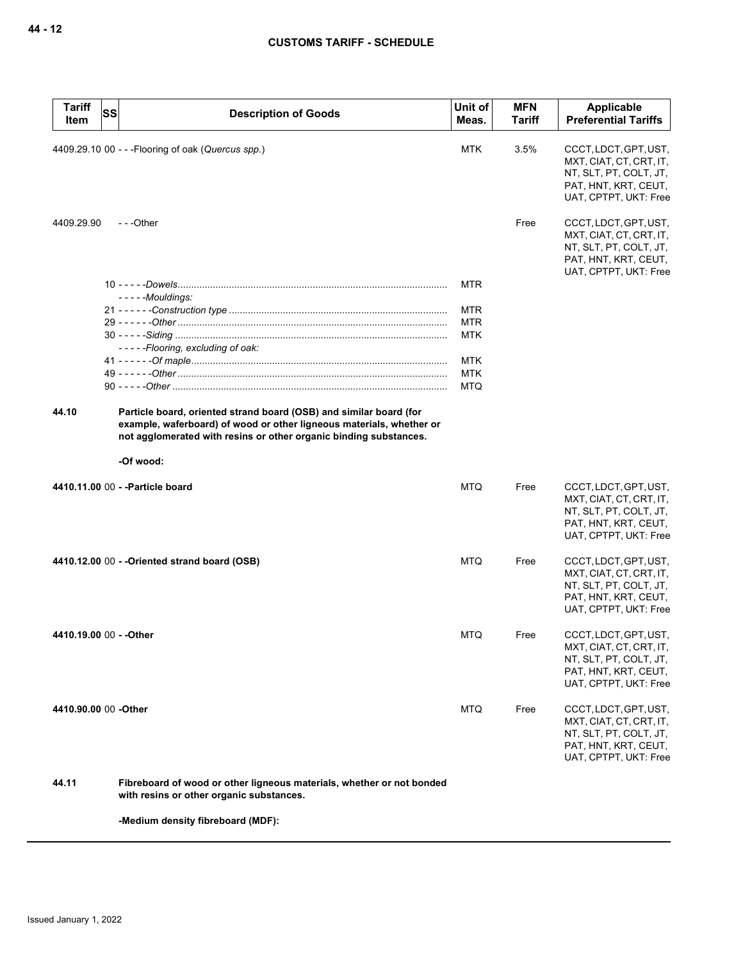| <b>Tariff</b><br>Item  | <b>SS</b> | <b>Description of Goods</b>                                                                                                                                                                                                  | Unit of<br>Meas. | <b>MFN</b><br>Tariff | Applicable<br><b>Preferential Tariffs</b>                                                                                   |
|------------------------|-----------|------------------------------------------------------------------------------------------------------------------------------------------------------------------------------------------------------------------------------|------------------|----------------------|-----------------------------------------------------------------------------------------------------------------------------|
|                        |           | 4409.29.10 00 - - - Flooring of oak (Quercus spp.)                                                                                                                                                                           | <b>MTK</b>       | 3.5%                 | CCCT, LDCT, GPT, UST,<br>MXT, CIAT, CT, CRT, IT,<br>NT, SLT, PT, COLT, JT,<br>PAT, HNT, KRT, CEUT,<br>UAT, CPTPT, UKT: Free |
| 4409.29.90             |           | $- -$ Other                                                                                                                                                                                                                  |                  | Free                 | CCCT, LDCT, GPT, UST,<br>MXT, CIAT, CT, CRT, IT,<br>NT, SLT, PT, COLT, JT,<br>PAT, HNT, KRT, CEUT,<br>UAT, CPTPT, UKT: Free |
|                        |           | - - - - - Mouldings:                                                                                                                                                                                                         | MTR              |                      |                                                                                                                             |
|                        |           |                                                                                                                                                                                                                              | MTR              |                      |                                                                                                                             |
|                        |           |                                                                                                                                                                                                                              | <b>MTR</b>       |                      |                                                                                                                             |
|                        |           |                                                                                                                                                                                                                              | <b>MTK</b>       |                      |                                                                                                                             |
|                        |           | -----Flooring, excluding of oak:                                                                                                                                                                                             |                  |                      |                                                                                                                             |
|                        |           |                                                                                                                                                                                                                              | <b>MTK</b>       |                      |                                                                                                                             |
|                        |           |                                                                                                                                                                                                                              | <b>MTK</b>       |                      |                                                                                                                             |
|                        |           |                                                                                                                                                                                                                              | <b>MTQ</b>       |                      |                                                                                                                             |
| 44.10                  |           | Particle board, oriented strand board (OSB) and similar board (for<br>example, waferboard) of wood or other ligneous materials, whether or<br>not agglomerated with resins or other organic binding substances.<br>-Of wood: |                  |                      |                                                                                                                             |
|                        |           | 4410.11.00 00 - - Particle board                                                                                                                                                                                             | <b>MTQ</b>       | Free                 | CCCT, LDCT, GPT, UST,                                                                                                       |
|                        |           |                                                                                                                                                                                                                              |                  |                      | MXT, CIAT, CT, CRT, IT,<br>NT, SLT, PT, COLT, JT,<br>PAT, HNT, KRT, CEUT,<br>UAT, CPTPT, UKT: Free                          |
|                        |           | 4410.12.00 00 - - Oriented strand board (OSB)                                                                                                                                                                                | <b>MTQ</b>       | Free                 | CCCT, LDCT, GPT, UST,<br>MXT, CIAT, CT, CRT, IT,<br>NT, SLT, PT, COLT, JT,<br>PAT, HNT, KRT, CEUT,<br>UAT, CPTPT, UKT: Free |
| 4410.19.00 00 - -Other |           |                                                                                                                                                                                                                              | MTQ              | Free                 | CCCT, LDCT, GPT, UST,<br>MXT, CIAT, CT, CRT, IT,<br>NT, SLT, PT, COLT, JT,<br>PAT, HNT, KRT, CEUT,<br>UAT, CPTPT, UKT: Free |
| 4410.90.00 00 -Other   |           |                                                                                                                                                                                                                              | <b>MTQ</b>       | Free                 | CCCT, LDCT, GPT, UST,<br>MXT, CIAT, CT, CRT, IT,<br>NT, SLT, PT, COLT, JT,<br>PAT, HNT, KRT, CEUT,<br>UAT, CPTPT, UKT: Free |
| 44.11                  |           | Fibreboard of wood or other ligneous materials, whether or not bonded<br>with resins or other organic substances.                                                                                                            |                  |                      |                                                                                                                             |
|                        |           | -Medium density fibreboard (MDF):                                                                                                                                                                                            |                  |                      |                                                                                                                             |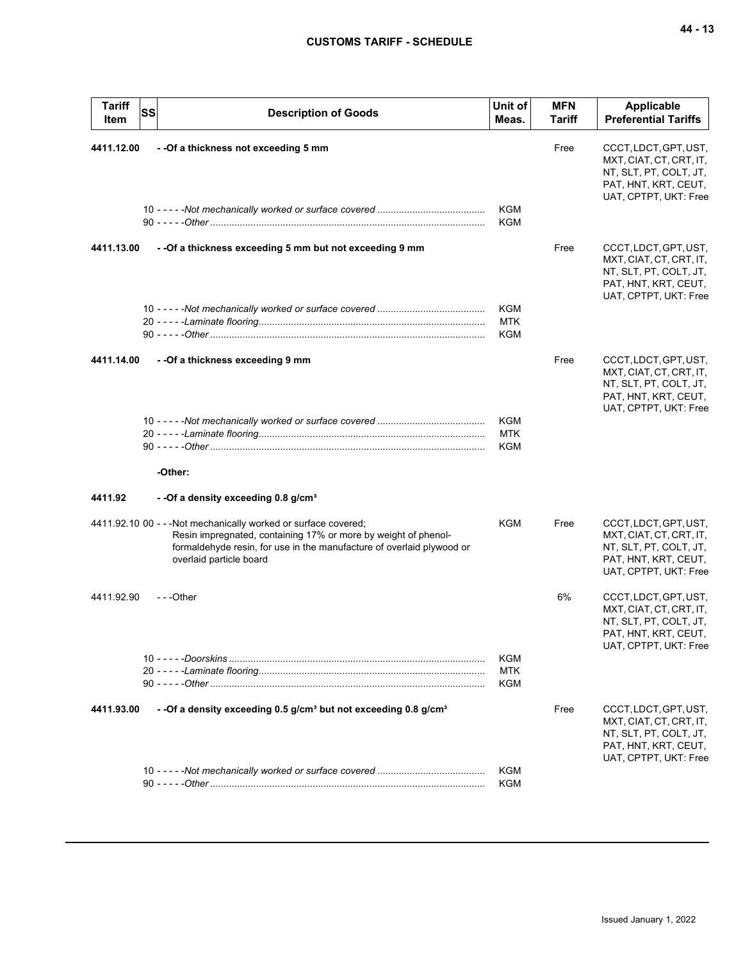| Tariff<br>Item | <b>SS</b> | <b>Description of Goods</b>                                                                                                                                                                                                           | Unit of<br>Meas.                | <b>MFN</b><br>Tariff | <b>Applicable</b><br><b>Preferential Tariffs</b>                                                                            |
|----------------|-----------|---------------------------------------------------------------------------------------------------------------------------------------------------------------------------------------------------------------------------------------|---------------------------------|----------------------|-----------------------------------------------------------------------------------------------------------------------------|
| 4411.12.00     |           | - - Of a thickness not exceeding 5 mm                                                                                                                                                                                                 |                                 | Free                 | CCCT, LDCT, GPT, UST,<br>MXT, CIAT, CT, CRT, IT,<br>NT, SLT, PT, COLT, JT,<br>PAT, HNT, KRT, CEUT,<br>UAT, CPTPT, UKT: Free |
|                |           |                                                                                                                                                                                                                                       | <b>KGM</b><br>KGM               |                      |                                                                                                                             |
| 4411.13.00     |           | - - Of a thickness exceeding 5 mm but not exceeding 9 mm                                                                                                                                                                              |                                 | Free                 | CCCT, LDCT, GPT, UST,<br>MXT, CIAT, CT, CRT, IT,<br>NT, SLT, PT, COLT, JT,<br>PAT, HNT, KRT, CEUT,<br>UAT, CPTPT, UKT: Free |
|                |           |                                                                                                                                                                                                                                       | KGM<br><b>MTK</b><br>KGM        |                      |                                                                                                                             |
| 4411.14.00     |           | - - Of a thickness exceeding 9 mm                                                                                                                                                                                                     |                                 | Free                 | CCCT, LDCT, GPT, UST,<br>MXT, CIAT, CT, CRT, IT,<br>NT, SLT, PT, COLT, JT,<br>PAT, HNT, KRT, CEUT,<br>UAT, CPTPT, UKT: Free |
|                |           |                                                                                                                                                                                                                                       | KGM<br><b>MTK</b><br>KGM        |                      |                                                                                                                             |
|                |           | -Other:                                                                                                                                                                                                                               |                                 |                      |                                                                                                                             |
| 4411.92        |           | - - Of a density exceeding 0.8 g/cm <sup>3</sup>                                                                                                                                                                                      |                                 |                      |                                                                                                                             |
|                |           | 4411.92.10 00 - - - Not mechanically worked or surface covered;<br>Resin impregnated, containing 17% or more by weight of phenol-<br>formaldehyde resin, for use in the manufacture of overlaid plywood or<br>overlaid particle board | KGM                             | Free                 | CCCT, LDCT, GPT, UST,<br>MXT, CIAT, CT, CRT, IT,<br>NT, SLT, PT, COLT, JT,<br>PAT, HNT, KRT, CEUT,<br>UAT, CPTPT, UKT: Free |
| 4411.92.90     |           | ---Other                                                                                                                                                                                                                              |                                 | 6%                   | CCCT, LDCT, GPT, UST,<br>MXT, CIAT, CT, CRT, IT,<br>NT, SLT, PT, COLT, JT,<br>PAT, HNT, KRT, CEUT,<br>UAT, CPTPT, UKT: Free |
|                |           |                                                                                                                                                                                                                                       | <b>KGM</b><br><b>MTK</b><br>KGM |                      |                                                                                                                             |
| 4411.93.00     |           | - - Of a density exceeding 0.5 g/cm <sup>3</sup> but not exceeding 0.8 g/cm <sup>3</sup>                                                                                                                                              |                                 | Free                 | CCCT, LDCT, GPT, UST,<br>MXT, CIAT, CT, CRT, IT,<br>NT, SLT, PT, COLT, JT,<br>PAT, HNT, KRT, CEUT,<br>UAT, CPTPT, UKT: Free |
|                |           |                                                                                                                                                                                                                                       | KGM<br>KGM                      |                      |                                                                                                                             |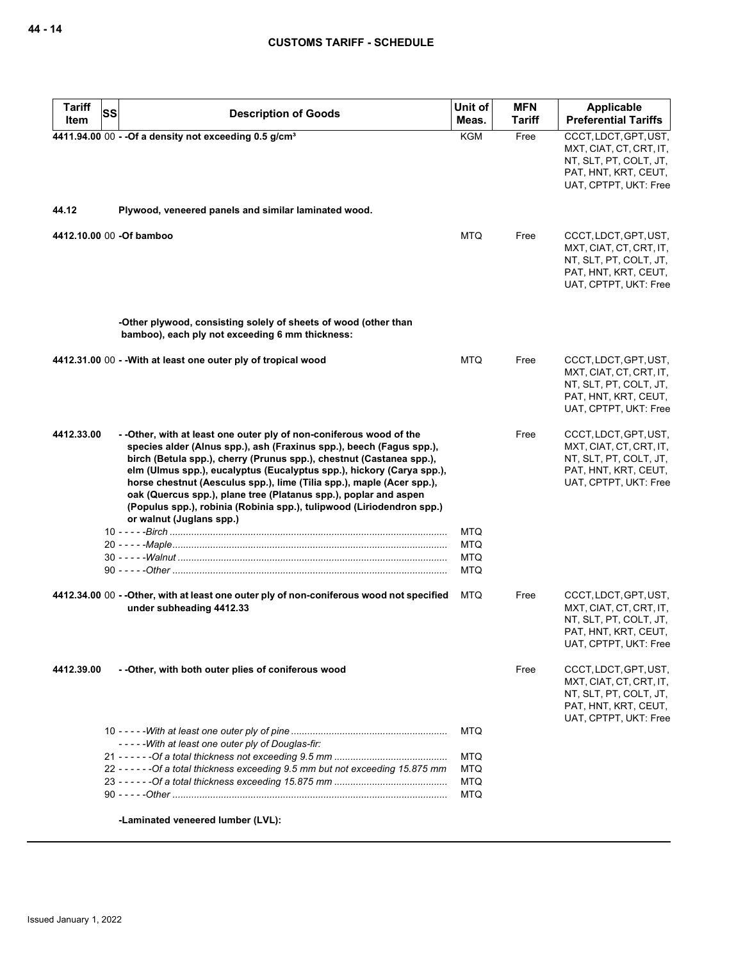| <b>Tariff</b><br><b>SS</b> | <b>Description of Goods</b>                                                                                                                                                                                                                                                                                                                                                                                                                                                                                                                     | Unit of                                                            | <b>MFN</b>    | Applicable                                                                                                                  |
|----------------------------|-------------------------------------------------------------------------------------------------------------------------------------------------------------------------------------------------------------------------------------------------------------------------------------------------------------------------------------------------------------------------------------------------------------------------------------------------------------------------------------------------------------------------------------------------|--------------------------------------------------------------------|---------------|-----------------------------------------------------------------------------------------------------------------------------|
| Item                       |                                                                                                                                                                                                                                                                                                                                                                                                                                                                                                                                                 | Meas.                                                              | <b>Tariff</b> | <b>Preferential Tariffs</b>                                                                                                 |
|                            | 4411.94.00 00 - - Of a density not exceeding 0.5 g/cm <sup>3</sup>                                                                                                                                                                                                                                                                                                                                                                                                                                                                              | <b>KGM</b>                                                         | Free          | CCCT, LDCT, GPT, UST,<br>MXT, CIAT, CT, CRT, IT,<br>NT, SLT, PT, COLT, JT,<br>PAT, HNT, KRT, CEUT,<br>UAT, CPTPT, UKT: Free |
| 44.12                      | Plywood, veneered panels and similar laminated wood.                                                                                                                                                                                                                                                                                                                                                                                                                                                                                            |                                                                    |               |                                                                                                                             |
| 4412.10.00 00 -Of bamboo   |                                                                                                                                                                                                                                                                                                                                                                                                                                                                                                                                                 | <b>MTQ</b>                                                         | Free          | CCCT, LDCT, GPT, UST,<br>MXT, CIAT, CT, CRT, IT,<br>NT, SLT, PT, COLT, JT,<br>PAT, HNT, KRT, CEUT,<br>UAT, CPTPT, UKT: Free |
|                            | -Other plywood, consisting solely of sheets of wood (other than<br>bamboo), each ply not exceeding 6 mm thickness:                                                                                                                                                                                                                                                                                                                                                                                                                              |                                                                    |               |                                                                                                                             |
|                            | 4412.31.00 00 - - With at least one outer ply of tropical wood                                                                                                                                                                                                                                                                                                                                                                                                                                                                                  | <b>MTQ</b>                                                         | Free          | CCCT, LDCT, GPT, UST,<br>MXT, CIAT, CT, CRT, IT,<br>NT, SLT, PT, COLT, JT,<br>PAT, HNT, KRT, CEUT,<br>UAT, CPTPT, UKT: Free |
| 4412.33.00                 | - - Other, with at least one outer ply of non-coniferous wood of the<br>species alder (Alnus spp.), ash (Fraxinus spp.), beech (Fagus spp.),<br>birch (Betula spp.), cherry (Prunus spp.), chestnut (Castanea spp.),<br>elm (Ulmus spp.), eucalyptus (Eucalyptus spp.), hickory (Carya spp.),<br>horse chestnut (Aesculus spp.), lime (Tilia spp.), maple (Acer spp.),<br>oak (Quercus spp.), plane tree (Platanus spp.), poplar and aspen<br>(Populus spp.), robinia (Robinia spp.), tulipwood (Liriodendron spp.)<br>or walnut (Juglans spp.) |                                                                    | Free          | CCCT, LDCT, GPT, UST,<br>MXT, CIAT, CT, CRT, IT,<br>NT, SLT, PT, COLT, JT,<br>PAT, HNT, KRT, CEUT,<br>UAT, CPTPT, UKT: Free |
|                            |                                                                                                                                                                                                                                                                                                                                                                                                                                                                                                                                                 | <b>MTQ</b><br><b>MTQ</b><br><b>MTQ</b><br><b>MTQ</b>               |               |                                                                                                                             |
|                            | 4412.34.00 00 - - Other, with at least one outer ply of non-coniferous wood not specified<br>under subheading 4412.33                                                                                                                                                                                                                                                                                                                                                                                                                           | <b>MTQ</b>                                                         | Free          | CCCT, LDCT, GPT, UST,<br>MXT, CIAT, CT, CRT, IT,<br>NT, SLT, PT, COLT, JT,<br>PAT, HNT, KRT, CEUT,<br>UAT, CPTPT, UKT: Free |
| 4412.39.00                 | - - Other, with both outer plies of coniferous wood                                                                                                                                                                                                                                                                                                                                                                                                                                                                                             |                                                                    | Free          | CCCT, LDCT, GPT, UST,<br>MXT, CIAT, CT, CRT, IT,<br>NT, SLT, PT, COLT, JT,<br>PAT, HNT, KRT, CEUT,<br>UAT, CPTPT, UKT: Free |
|                            | -----With at least one outer ply of Douglas-fir:<br>22 - - - - - - Of a total thickness exceeding 9.5 mm but not exceeding 15.875 mm                                                                                                                                                                                                                                                                                                                                                                                                            | <b>MTQ</b><br><b>MTQ</b><br><b>MTQ</b><br><b>MTQ</b><br><b>MTQ</b> |               |                                                                                                                             |
|                            | -Laminated veneered lumber (LVL):                                                                                                                                                                                                                                                                                                                                                                                                                                                                                                               |                                                                    |               |                                                                                                                             |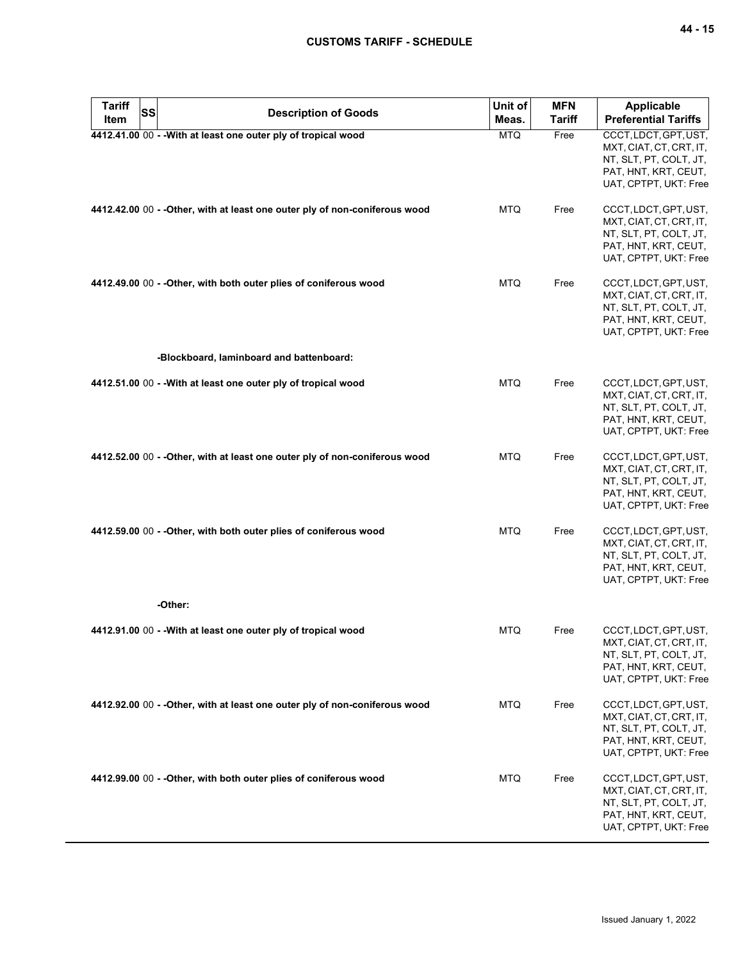| <b>Tariff</b><br>Item | SS | <b>Description of Goods</b>                                                 | Unit of<br>Meas. | <b>MFN</b><br><b>Tariff</b> | <b>Applicable</b><br><b>Preferential Tariffs</b>                                                                            |
|-----------------------|----|-----------------------------------------------------------------------------|------------------|-----------------------------|-----------------------------------------------------------------------------------------------------------------------------|
|                       |    | 4412.41.00 00 - - With at least one outer ply of tropical wood              | <b>MTQ</b>       | Free                        | CCCT, LDCT, GPT, UST,<br>MXT, CIAT, CT, CRT, IT,<br>NT, SLT, PT, COLT, JT,<br>PAT, HNT, KRT, CEUT,<br>UAT, CPTPT, UKT: Free |
|                       |    | 4412.42.00 00 - - Other, with at least one outer ply of non-coniferous wood | MTQ.             | Free                        | CCCT, LDCT, GPT, UST,<br>MXT, CIAT, CT, CRT, IT,<br>NT, SLT, PT, COLT, JT,<br>PAT, HNT, KRT, CEUT,<br>UAT, CPTPT, UKT: Free |
|                       |    | 4412.49.00 00 - - Other, with both outer plies of coniferous wood           | <b>MTQ</b>       | Free                        | CCCT, LDCT, GPT, UST,<br>MXT, CIAT, CT, CRT, IT,<br>NT, SLT, PT, COLT, JT,<br>PAT, HNT, KRT, CEUT,<br>UAT, CPTPT, UKT: Free |
|                       |    | -Blockboard, laminboard and battenboard:                                    |                  |                             |                                                                                                                             |
|                       |    | 4412.51.00 00 - - With at least one outer ply of tropical wood              | <b>MTQ</b>       | Free                        | CCCT, LDCT, GPT, UST,<br>MXT, CIAT, CT, CRT, IT,<br>NT, SLT, PT, COLT, JT,<br>PAT, HNT, KRT, CEUT,<br>UAT, CPTPT, UKT: Free |
|                       |    | 4412.52.00 00 - - Other, with at least one outer ply of non-coniferous wood | <b>MTQ</b>       | Free                        | CCCT, LDCT, GPT, UST,<br>MXT, CIAT, CT, CRT, IT,<br>NT, SLT, PT, COLT, JT,<br>PAT, HNT, KRT, CEUT,<br>UAT, CPTPT, UKT: Free |
|                       |    | 4412.59.00 00 - - Other, with both outer plies of coniferous wood           | <b>MTQ</b>       | Free                        | CCCT, LDCT, GPT, UST,<br>MXT, CIAT, CT, CRT, IT,<br>NT, SLT, PT, COLT, JT,<br>PAT, HNT, KRT, CEUT,<br>UAT, CPTPT, UKT: Free |
|                       |    | -Other:                                                                     |                  |                             |                                                                                                                             |
|                       |    | 4412.91.00 00 - - With at least one outer ply of tropical wood              | <b>MTQ</b>       | Free                        | CCCT, LDCT, GPT, UST,<br>MXT, CIAT, CT, CRT, IT,<br>NT, SLT, PT, COLT, JT,<br>PAT, HNT, KRT, CEUT,<br>UAT, CPTPT, UKT: Free |
|                       |    | 4412.92.00 00 - - Other, with at least one outer ply of non-coniferous wood | <b>MTQ</b>       | Free                        | CCCT, LDCT, GPT, UST,<br>MXT, CIAT, CT, CRT, IT,<br>NT, SLT, PT, COLT, JT,<br>PAT, HNT, KRT, CEUT,<br>UAT, CPTPT, UKT: Free |
|                       |    | 4412.99.00 00 - - Other, with both outer plies of coniferous wood           | <b>MTQ</b>       | Free                        | CCCT, LDCT, GPT, UST,<br>MXT, CIAT, CT, CRT, IT,<br>NT, SLT, PT, COLT, JT,<br>PAT, HNT, KRT, CEUT,<br>UAT, CPTPT, UKT: Free |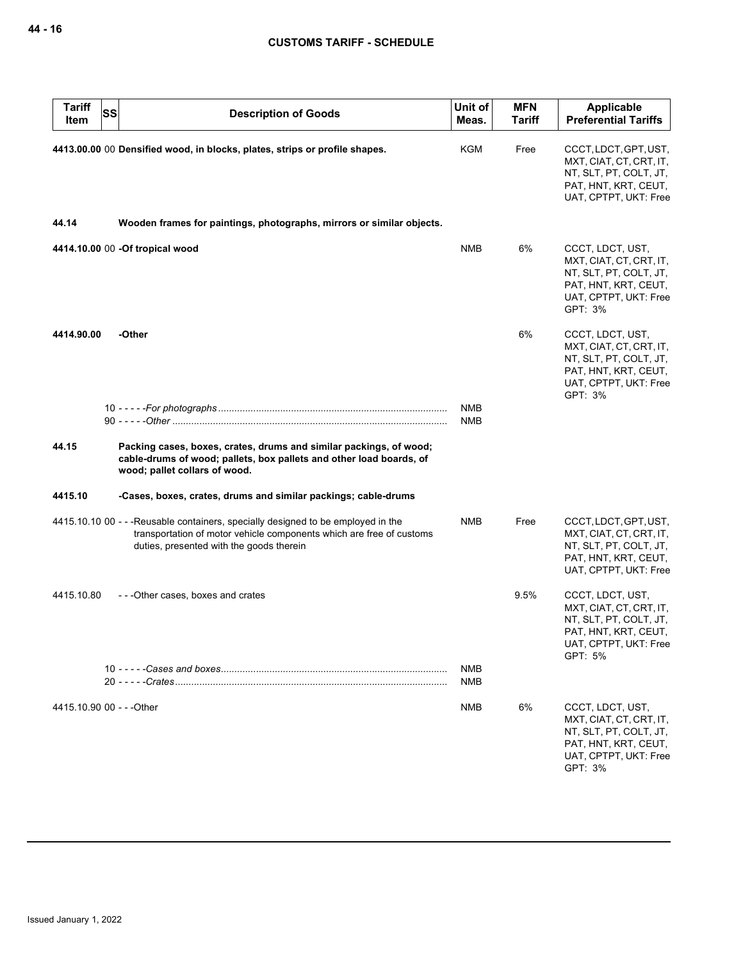| <b>Tariff</b><br>Item     | <b>SS</b> | <b>Description of Goods</b>                                                                                                                                                                           | Unit of<br>Meas.  | <b>MFN</b><br><b>Tariff</b> | Applicable<br><b>Preferential Tariffs</b>                                                                                         |
|---------------------------|-----------|-------------------------------------------------------------------------------------------------------------------------------------------------------------------------------------------------------|-------------------|-----------------------------|-----------------------------------------------------------------------------------------------------------------------------------|
|                           |           | 4413.00.00 00 Densified wood, in blocks, plates, strips or profile shapes.                                                                                                                            | KGM               | Free                        | CCCT, LDCT, GPT, UST,<br>MXT, CIAT, CT, CRT, IT,<br>NT, SLT, PT, COLT, JT,<br>PAT, HNT, KRT, CEUT,<br>UAT, CPTPT, UKT: Free       |
| 44.14                     |           | Wooden frames for paintings, photographs, mirrors or similar objects.                                                                                                                                 |                   |                             |                                                                                                                                   |
|                           |           | 4414.10.00 00 -Of tropical wood                                                                                                                                                                       | <b>NMB</b>        | 6%                          | CCCT, LDCT, UST,<br>MXT, CIAT, CT, CRT, IT,<br>NT, SLT, PT, COLT, JT,<br>PAT, HNT, KRT, CEUT,<br>UAT, CPTPT, UKT: Free<br>GPT: 3% |
| 4414.90.00                |           | -Other                                                                                                                                                                                                |                   | 6%                          | CCCT, LDCT, UST,<br>MXT, CIAT, CT, CRT, IT,<br>NT, SLT, PT, COLT, JT,<br>PAT, HNT, KRT, CEUT,<br>UAT, CPTPT, UKT: Free<br>GPT: 3% |
|                           |           |                                                                                                                                                                                                       | <b>NMB</b><br>NMB |                             |                                                                                                                                   |
| 44.15                     |           | Packing cases, boxes, crates, drums and similar packings, of wood;<br>cable-drums of wood; pallets, box pallets and other load boards, of<br>wood; pallet collars of wood.                            |                   |                             |                                                                                                                                   |
| 4415.10                   |           | -Cases, boxes, crates, drums and similar packings; cable-drums                                                                                                                                        |                   |                             |                                                                                                                                   |
|                           |           | 4415.10.10 00 - - - Reusable containers, specially designed to be employed in the<br>transportation of motor vehicle components which are free of customs<br>duties, presented with the goods therein | <b>NMB</b>        | Free                        | CCCT, LDCT, GPT, UST,<br>MXT, CIAT, CT, CRT, IT,<br>NT, SLT, PT, COLT, JT,<br>PAT, HNT, KRT, CEUT,<br>UAT, CPTPT, UKT: Free       |
| 4415.10.80                |           | ---Other cases, boxes and crates                                                                                                                                                                      |                   | 9.5%                        | CCCT, LDCT, UST,<br>MXT, CIAT, CT, CRT, IT,<br>NT, SLT, PT, COLT, JT,<br>PAT, HNT, KRT, CEUT,<br>UAT, CPTPT, UKT: Free<br>GPT: 5% |
|                           |           |                                                                                                                                                                                                       | NMB<br>NMB        |                             |                                                                                                                                   |
| 4415.10.90 00 - - - Other |           |                                                                                                                                                                                                       | NMB               | 6%                          | CCCT, LDCT, UST,<br>MXT, CIAT, CT, CRT, IT,<br>NT, SLT, PT, COLT, JT,<br>PAT, HNT, KRT, CEUT,<br>UAT, CPTPT, UKT: Free<br>GPT: 3% |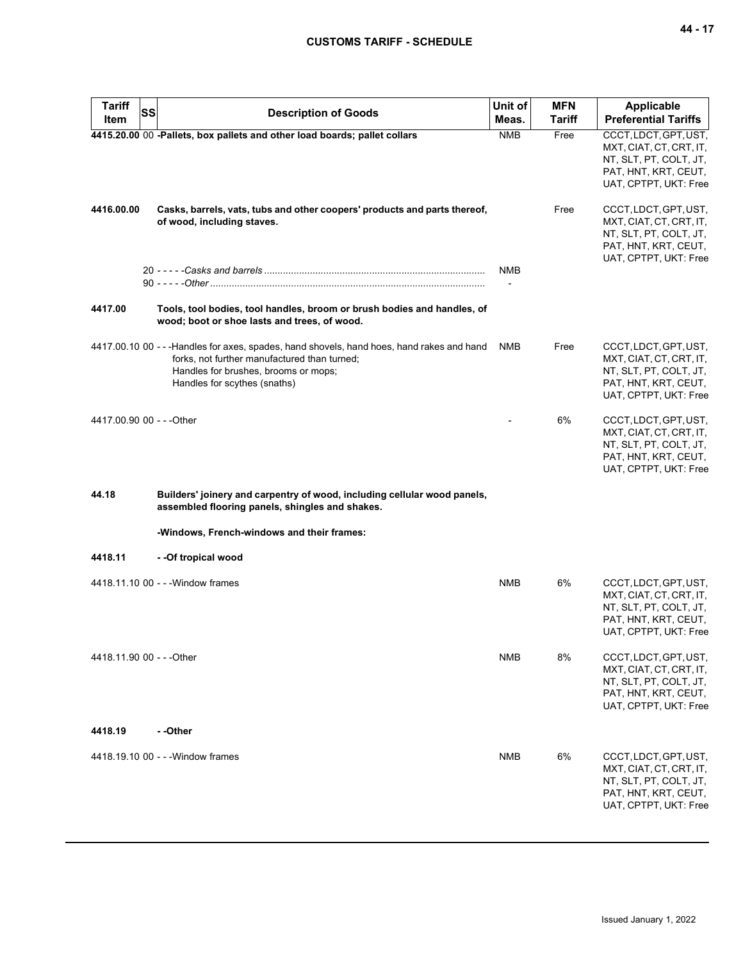| <b>Tariff</b><br>SS       | <b>Description of Goods</b>                                                                                                                                                                                       | Unit of    | <b>MFN</b>    | <b>Applicable</b>                                                                                                           |
|---------------------------|-------------------------------------------------------------------------------------------------------------------------------------------------------------------------------------------------------------------|------------|---------------|-----------------------------------------------------------------------------------------------------------------------------|
| Item                      |                                                                                                                                                                                                                   | Meas.      | <b>Tariff</b> | <b>Preferential Tariffs</b>                                                                                                 |
|                           | 4415.20.00 00 -Pallets, box pallets and other load boards; pallet collars                                                                                                                                         | <b>NMB</b> | Free          | CCCT, LDCT, GPT, UST,<br>MXT, CIAT, CT, CRT, IT,<br>NT, SLT, PT, COLT, JT,<br>PAT, HNT, KRT, CEUT,<br>UAT, CPTPT, UKT: Free |
| 4416.00.00                | Casks, barrels, vats, tubs and other coopers' products and parts thereof,<br>of wood, including staves.                                                                                                           |            | Free          | CCCT, LDCT, GPT, UST,<br>MXT, CIAT, CT, CRT, IT,<br>NT, SLT, PT, COLT, JT,<br>PAT, HNT, KRT, CEUT,<br>UAT, CPTPT, UKT: Free |
|                           |                                                                                                                                                                                                                   | <b>NMB</b> |               |                                                                                                                             |
|                           |                                                                                                                                                                                                                   |            |               |                                                                                                                             |
| 4417.00                   | Tools, tool bodies, tool handles, broom or brush bodies and handles, of<br>wood; boot or shoe lasts and trees, of wood.                                                                                           |            |               |                                                                                                                             |
|                           | 4417.00.10 00 - - -Handles for axes, spades, hand shovels, hand hoes, hand rakes and hand<br>forks, not further manufactured than turned;<br>Handles for brushes, brooms or mops;<br>Handles for scythes (snaths) | <b>NMB</b> | Free          | CCCT, LDCT, GPT, UST,<br>MXT, CIAT, CT, CRT, IT,<br>NT, SLT, PT, COLT, JT,<br>PAT, HNT, KRT, CEUT,<br>UAT, CPTPT, UKT: Free |
| 4417.00.90 00 - - - Other |                                                                                                                                                                                                                   |            | 6%            | CCCT, LDCT, GPT, UST,<br>MXT, CIAT, CT, CRT, IT,<br>NT, SLT, PT, COLT, JT,<br>PAT, HNT, KRT, CEUT,<br>UAT, CPTPT, UKT: Free |
| 44.18                     | Builders' joinery and carpentry of wood, including cellular wood panels,<br>assembled flooring panels, shingles and shakes.                                                                                       |            |               |                                                                                                                             |
|                           | -Windows, French-windows and their frames:                                                                                                                                                                        |            |               |                                                                                                                             |
| 4418.11                   | --Of tropical wood                                                                                                                                                                                                |            |               |                                                                                                                             |
|                           | 4418.11.10 00 - - - Window frames                                                                                                                                                                                 | <b>NMB</b> | 6%            | CCCT, LDCT, GPT, UST,<br>MXT, CIAT, CT, CRT, IT,<br>NT, SLT, PT, COLT, JT,<br>PAT, HNT, KRT, CEUT,<br>UAT, CPTPT, UKT: Free |
| 4418.11.90 00 - - - Other |                                                                                                                                                                                                                   | <b>NMB</b> | 8%            | CCCT, LDCT, GPT, UST,<br>MXT, CIAT, CT, CRT, IT,<br>NT, SLT, PT, COLT, JT,<br>PAT, HNT, KRT, CEUT,<br>UAT, CPTPT, UKT: Free |
| 4418.19                   | - -Other                                                                                                                                                                                                          |            |               |                                                                                                                             |
|                           | 4418.19.10 00 - - - Window frames                                                                                                                                                                                 | <b>NMB</b> | 6%            | CCCT, LDCT, GPT, UST,<br>MXT, CIAT, CT, CRT, IT,<br>NT, SLT, PT, COLT, JT,<br>PAT, HNT, KRT, CEUT,<br>UAT, CPTPT, UKT: Free |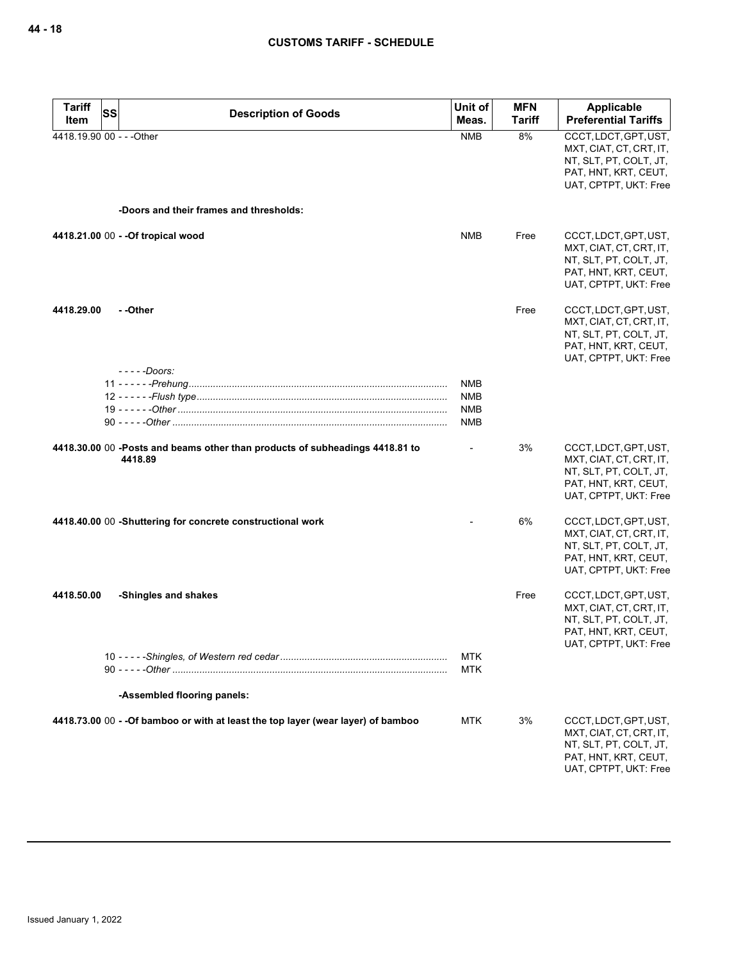| <b>Tariff</b>             | SS | <b>Description of Goods</b>                                                             | Unit of                                | <b>MFN</b>    | <b>Applicable</b>                                                                                                           |
|---------------------------|----|-----------------------------------------------------------------------------------------|----------------------------------------|---------------|-----------------------------------------------------------------------------------------------------------------------------|
| Item                      |    |                                                                                         | Meas.                                  | <b>Tariff</b> | <b>Preferential Tariffs</b>                                                                                                 |
| 4418.19.90 00 - - - Other |    |                                                                                         | <b>NMB</b>                             | 8%            | CCCT, LDCT, GPT, UST,<br>MXT, CIAT, CT, CRT, IT,<br>NT, SLT, PT, COLT, JT,<br>PAT, HNT, KRT, CEUT,<br>UAT, CPTPT, UKT: Free |
|                           |    | -Doors and their frames and thresholds:                                                 |                                        |               |                                                                                                                             |
|                           |    | 4418.21.00 00 - - Of tropical wood                                                      | <b>NMB</b>                             | Free          | CCCT, LDCT, GPT, UST,<br>MXT, CIAT, CT, CRT, IT,<br>NT, SLT, PT, COLT, JT,<br>PAT, HNT, KRT, CEUT,<br>UAT, CPTPT, UKT: Free |
| 4418.29.00                |    | - -Other<br>$---$ Doors:                                                                |                                        | Free          | CCCT, LDCT, GPT, UST,<br>MXT, CIAT, CT, CRT, IT,<br>NT, SLT, PT, COLT, JT,<br>PAT, HNT, KRT, CEUT,<br>UAT, CPTPT, UKT: Free |
|                           |    |                                                                                         | NMB<br><b>NMB</b><br><b>NMB</b><br>NMB |               |                                                                                                                             |
|                           |    | 4418.30.00 00 -Posts and beams other than products of subheadings 4418.81 to<br>4418.89 |                                        | 3%            | CCCT, LDCT, GPT, UST,<br>MXT, CIAT, CT, CRT, IT,<br>NT, SLT, PT, COLT, JT,<br>PAT, HNT, KRT, CEUT,<br>UAT, CPTPT, UKT: Free |
|                           |    | 4418.40.00 00 -Shuttering for concrete constructional work                              |                                        | 6%            | CCCT, LDCT, GPT, UST,<br>MXT, CIAT, CT, CRT, IT,<br>NT, SLT, PT, COLT, JT,<br>PAT, HNT, KRT, CEUT,<br>UAT, CPTPT, UKT: Free |
| 4418.50.00                |    | -Shingles and shakes                                                                    |                                        | Free          | CCCT, LDCT, GPT, UST,<br>MXT, CIAT, CT, CRT, IT,<br>NT, SLT, PT, COLT, JT,<br>PAT, HNT, KRT, CEUT,<br>UAT, CPTPT, UKT: Free |
|                           |    |                                                                                         | <b>MTK</b><br><b>MTK</b>               |               |                                                                                                                             |
|                           |    | -Assembled flooring panels:                                                             |                                        |               |                                                                                                                             |
|                           |    | 4418.73.00 00 - - Of bamboo or with at least the top layer (wear layer) of bamboo       | <b>MTK</b>                             | 3%            | CCCT, LDCT, GPT, UST,<br>MXT, CIAT, CT, CRT, IT,<br>NT, SLT, PT, COLT, JT,<br>PAT, HNT, KRT, CEUT,<br>UAT, CPTPT, UKT: Free |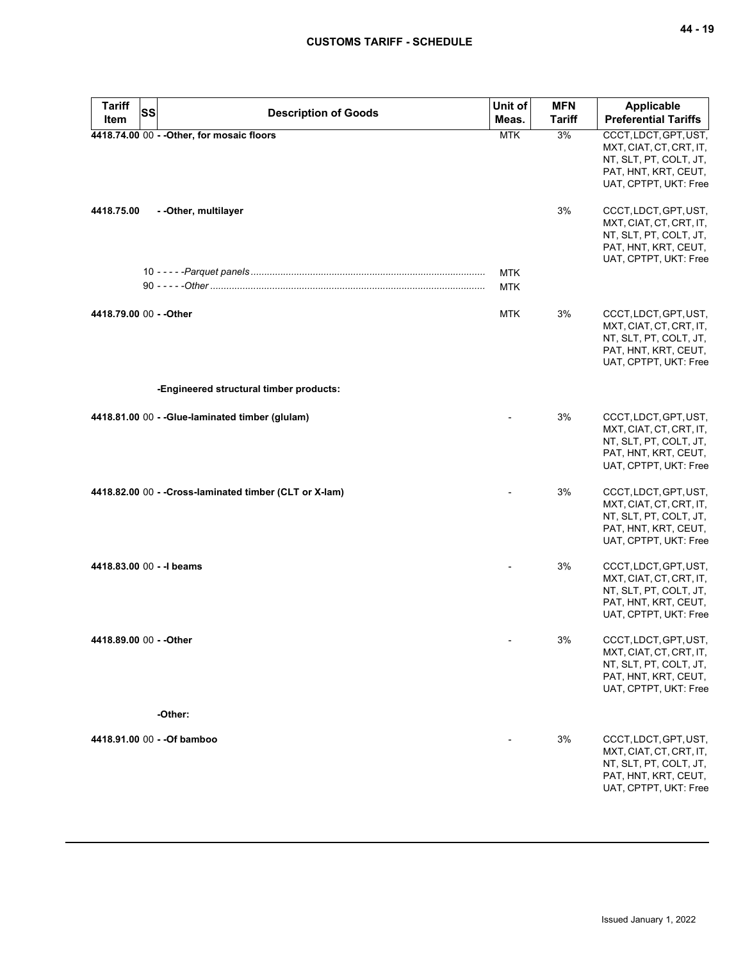| <b>Tariff</b><br><b>SS</b><br>Item | <b>Description of Goods</b>                             | Unit of<br>Meas.         | <b>MFN</b><br><b>Tariff</b> | Applicable<br><b>Preferential Tariffs</b>                                                                                   |
|------------------------------------|---------------------------------------------------------|--------------------------|-----------------------------|-----------------------------------------------------------------------------------------------------------------------------|
|                                    | 4418.74.00 00 - - Other, for mosaic floors              | <b>MTK</b>               | 3%                          | CCCT, LDCT, GPT, UST,<br>MXT, CIAT, CT, CRT, IT,<br>NT, SLT, PT, COLT, JT,<br>PAT, HNT, KRT, CEUT,<br>UAT, CPTPT, UKT: Free |
| 4418.75.00                         | - - Other, multilayer                                   |                          | 3%                          | CCCT, LDCT, GPT, UST,<br>MXT, CIAT, CT, CRT, IT,<br>NT, SLT, PT, COLT, JT,<br>PAT, HNT, KRT, CEUT,<br>UAT, CPTPT, UKT: Free |
|                                    |                                                         | <b>MTK</b><br><b>MTK</b> |                             |                                                                                                                             |
| 4418.79.00 00 - - Other            |                                                         | <b>MTK</b>               | 3%                          | CCCT, LDCT, GPT, UST,<br>MXT, CIAT, CT, CRT, IT,<br>NT, SLT, PT, COLT, JT,<br>PAT, HNT, KRT, CEUT,<br>UAT, CPTPT, UKT: Free |
|                                    | -Engineered structural timber products:                 |                          |                             |                                                                                                                             |
|                                    | 4418.81.00 00 - - Glue-laminated timber (glulam)        |                          | 3%                          | CCCT, LDCT, GPT, UST,<br>MXT, CIAT, CT, CRT, IT,<br>NT, SLT, PT, COLT, JT,<br>PAT, HNT, KRT, CEUT,<br>UAT, CPTPT, UKT: Free |
|                                    | 4418.82.00 00 - - Cross-laminated timber (CLT or X-lam) |                          | 3%                          | CCCT, LDCT, GPT, UST,<br>MXT, CIAT, CT, CRT, IT,<br>NT, SLT, PT, COLT, JT,<br>PAT, HNT, KRT, CEUT,<br>UAT, CPTPT, UKT: Free |
| 4418.83.00 00 - - I beams          |                                                         |                          | 3%                          | CCCT, LDCT, GPT, UST,<br>MXT, CIAT, CT, CRT, IT,<br>NT, SLT, PT, COLT, JT,<br>PAT, HNT, KRT, CEUT,<br>UAT, CPTPT, UKT: Free |
| 4418.89.00 00 - - Other            |                                                         |                          | 3%                          | CCCT, LDCT, GPT, UST,<br>MXT, CIAT, CT, CRT, IT,<br>NT, SLT, PT, COLT, JT,<br>PAT, HNT, KRT, CEUT,<br>UAT, CPTPT, UKT: Free |
|                                    | -Other:                                                 |                          |                             |                                                                                                                             |
|                                    | 4418.91.00 00 - - Of bamboo                             |                          | 3%                          | CCCT, LDCT, GPT, UST,<br>MXT, CIAT, CT, CRT, IT,<br>NT, SLT, PT, COLT, JT,<br>PAT, HNT, KRT, CEUT,<br>UAT, CPTPT, UKT: Free |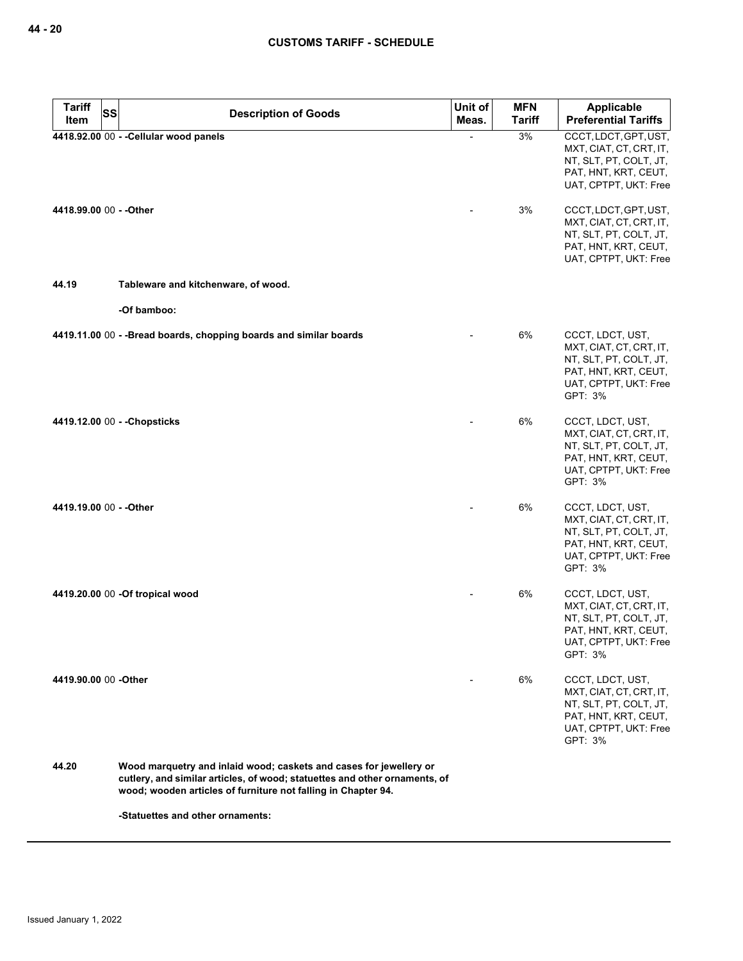| <b>Tariff</b><br><b>SS</b> | <b>Description of Goods</b>                                                                                                                                                                                       | Unit of | <b>MFN</b>    | Applicable                                                                                                                        |
|----------------------------|-------------------------------------------------------------------------------------------------------------------------------------------------------------------------------------------------------------------|---------|---------------|-----------------------------------------------------------------------------------------------------------------------------------|
| Item                       |                                                                                                                                                                                                                   | Meas.   | <b>Tariff</b> | <b>Preferential Tariffs</b>                                                                                                       |
|                            | 4418.92.00 00 - - Cellular wood panels                                                                                                                                                                            |         | 3%            | CCCT, LDCT, GPT, UST,<br>MXT, CIAT, CT, CRT, IT,<br>NT, SLT, PT, COLT, JT,<br>PAT, HNT, KRT, CEUT,<br>UAT, CPTPT, UKT: Free       |
| 4418.99.00 00 - - Other    |                                                                                                                                                                                                                   |         | 3%            | CCCT, LDCT, GPT, UST,<br>MXT, CIAT, CT, CRT, IT,<br>NT, SLT, PT, COLT, JT,<br>PAT, HNT, KRT, CEUT,<br>UAT, CPTPT, UKT: Free       |
| 44.19                      | Tableware and kitchenware, of wood.                                                                                                                                                                               |         |               |                                                                                                                                   |
|                            | -Of bamboo:                                                                                                                                                                                                       |         |               |                                                                                                                                   |
|                            | 4419.11.00 00 - - Bread boards, chopping boards and similar boards                                                                                                                                                |         | 6%            | CCCT, LDCT, UST,<br>MXT, CIAT, CT, CRT, IT,<br>NT, SLT, PT, COLT, JT,<br>PAT, HNT, KRT, CEUT,<br>UAT, CPTPT, UKT: Free<br>GPT: 3% |
|                            | 4419.12.00 00 - - Chopsticks                                                                                                                                                                                      |         | 6%            | CCCT, LDCT, UST,<br>MXT, CIAT, CT, CRT, IT,<br>NT, SLT, PT, COLT, JT,<br>PAT, HNT, KRT, CEUT,<br>UAT, CPTPT, UKT: Free<br>GPT: 3% |
| 4419.19.00 00 - - Other    |                                                                                                                                                                                                                   |         | 6%            | CCCT, LDCT, UST,<br>MXT, CIAT, CT, CRT, IT,<br>NT, SLT, PT, COLT, JT,<br>PAT, HNT, KRT, CEUT,<br>UAT, CPTPT, UKT: Free<br>GPT: 3% |
|                            | 4419.20.00 00 -Of tropical wood                                                                                                                                                                                   |         | 6%            | CCCT, LDCT, UST,<br>MXT, CIAT, CT, CRT, IT,<br>NT, SLT, PT, COLT, JT,<br>PAT, HNT, KRT, CEUT,<br>UAT, CPTPT, UKT: Free<br>GPT: 3% |
| 4419.90.00 00 - Other      |                                                                                                                                                                                                                   |         | 6%            | CCCT, LDCT, UST,<br>MXT, CIAT, CT, CRT, IT,<br>NT, SLT, PT, COLT, JT,<br>PAT, HNT, KRT, CEUT,<br>UAT, CPTPT, UKT: Free<br>GPT: 3% |
| 44.20                      | Wood marquetry and inlaid wood; caskets and cases for jewellery or<br>cutlery, and similar articles, of wood; statuettes and other ornaments, of<br>wood; wooden articles of furniture not falling in Chapter 94. |         |               |                                                                                                                                   |
|                            | -Statuettes and other ornaments:                                                                                                                                                                                  |         |               |                                                                                                                                   |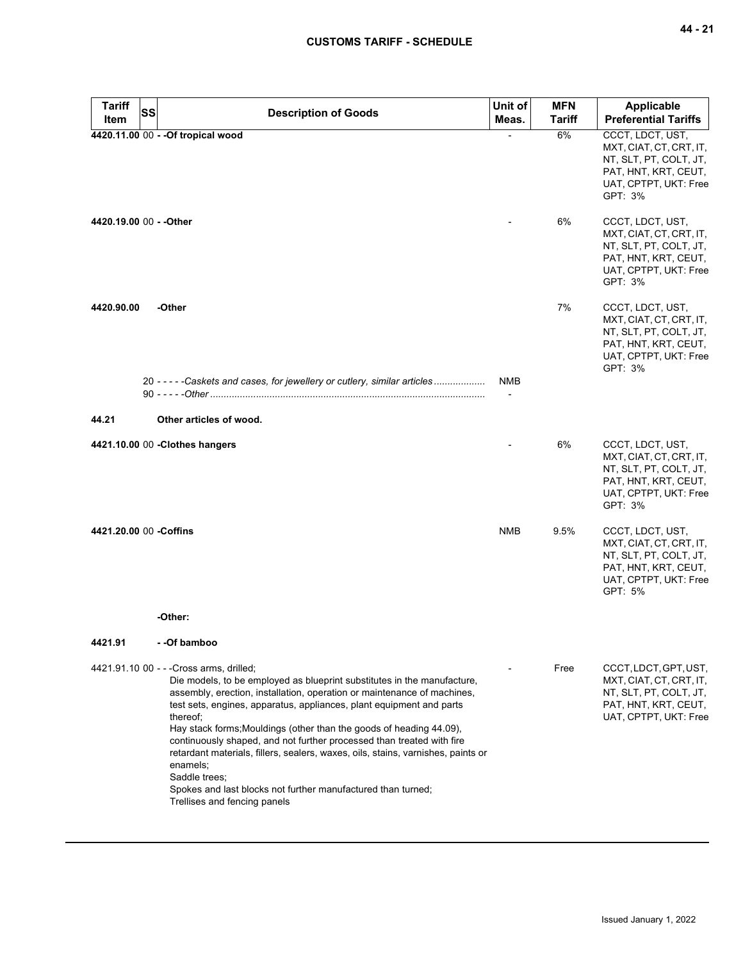| Tariff<br>Item          | <b>SS</b> | <b>Description of Goods</b>                                                                                                                                                                                                                                                                                                                                                                                                                                                                                                                                                                                                                         | Unit of<br>Meas. | <b>MFN</b><br>Tariff | <b>Applicable</b><br><b>Preferential Tariffs</b>                                                                                  |
|-------------------------|-----------|-----------------------------------------------------------------------------------------------------------------------------------------------------------------------------------------------------------------------------------------------------------------------------------------------------------------------------------------------------------------------------------------------------------------------------------------------------------------------------------------------------------------------------------------------------------------------------------------------------------------------------------------------------|------------------|----------------------|-----------------------------------------------------------------------------------------------------------------------------------|
|                         |           | 4420.11.00 00 - - Of tropical wood                                                                                                                                                                                                                                                                                                                                                                                                                                                                                                                                                                                                                  |                  | 6%                   | CCCT, LDCT, UST,<br>MXT, CIAT, CT, CRT, IT,<br>NT, SLT, PT, COLT, JT,<br>PAT, HNT, KRT, CEUT,<br>UAT, CPTPT, UKT: Free<br>GPT: 3% |
| 4420.19.00 00 - - Other |           |                                                                                                                                                                                                                                                                                                                                                                                                                                                                                                                                                                                                                                                     |                  | 6%                   | CCCT, LDCT, UST,<br>MXT, CIAT, CT, CRT, IT,<br>NT, SLT, PT, COLT, JT,<br>PAT, HNT, KRT, CEUT,<br>UAT, CPTPT, UKT: Free<br>GPT: 3% |
| 4420.90.00              |           | -Other                                                                                                                                                                                                                                                                                                                                                                                                                                                                                                                                                                                                                                              |                  | 7%                   | CCCT, LDCT, UST,<br>MXT, CIAT, CT, CRT, IT,<br>NT, SLT, PT, COLT, JT,<br>PAT, HNT, KRT, CEUT,<br>UAT, CPTPT, UKT: Free<br>GPT: 3% |
| 44.21                   |           | 20 - - - - - Caskets and cases, for jewellery or cutlery, similar articles<br>Other articles of wood.                                                                                                                                                                                                                                                                                                                                                                                                                                                                                                                                               | NMB              |                      |                                                                                                                                   |
|                         |           |                                                                                                                                                                                                                                                                                                                                                                                                                                                                                                                                                                                                                                                     |                  |                      |                                                                                                                                   |
|                         |           | 4421.10.00 00 -Clothes hangers                                                                                                                                                                                                                                                                                                                                                                                                                                                                                                                                                                                                                      |                  | 6%                   | CCCT, LDCT, UST,<br>MXT, CIAT, CT, CRT, IT,<br>NT, SLT, PT, COLT, JT,<br>PAT, HNT, KRT, CEUT,<br>UAT, CPTPT, UKT: Free<br>GPT: 3% |
| 4421.20.00 00 - Coffins |           |                                                                                                                                                                                                                                                                                                                                                                                                                                                                                                                                                                                                                                                     | <b>NMB</b>       | 9.5%                 | CCCT, LDCT, UST,<br>MXT, CIAT, CT, CRT, IT,<br>NT, SLT, PT, COLT, JT,<br>PAT, HNT, KRT, CEUT,<br>UAT, CPTPT, UKT: Free<br>GPT: 5% |
|                         |           | -Other:                                                                                                                                                                                                                                                                                                                                                                                                                                                                                                                                                                                                                                             |                  |                      |                                                                                                                                   |
| 4421.91                 |           | - -Of bamboo                                                                                                                                                                                                                                                                                                                                                                                                                                                                                                                                                                                                                                        |                  |                      |                                                                                                                                   |
|                         |           | 4421.91.10 00 - - - Cross arms, drilled;<br>Die models, to be employed as blueprint substitutes in the manufacture,<br>assembly, erection, installation, operation or maintenance of machines,<br>test sets, engines, apparatus, appliances, plant equipment and parts<br>thereof:<br>Hay stack forms; Mouldings (other than the goods of heading 44.09),<br>continuously shaped, and not further processed than treated with fire<br>retardant materials, fillers, sealers, waxes, oils, stains, varnishes, paints or<br>enamels;<br>Saddle trees:<br>Spokes and last blocks not further manufactured than turned;<br>Trellises and fencing panels |                  | Free                 | CCCT, LDCT, GPT, UST,<br>MXT, CIAT, CT, CRT, IT,<br>NT, SLT, PT, COLT, JT,<br>PAT, HNT, KRT, CEUT,<br>UAT, CPTPT, UKT: Free       |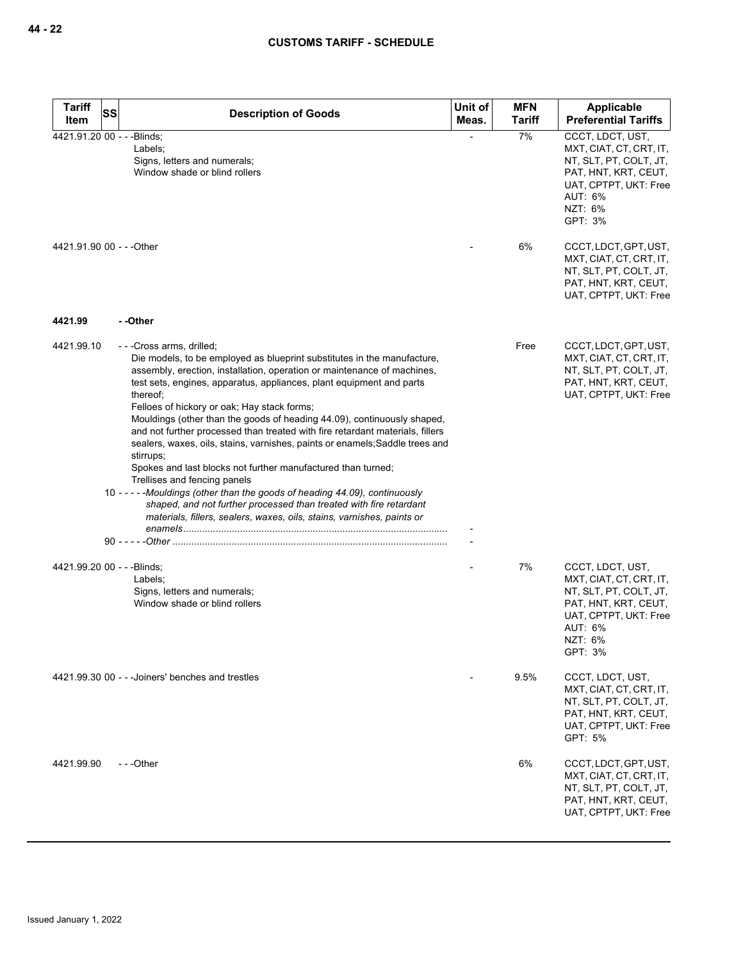| <b>Tariff</b><br>Item                    | SS<br><b>Description of Goods</b>                                                                                                                                                                                                                                                                                                                                                                                                                                                                                                                                                                                                                                                                                                                                                                                                                                                                                    | Unit of<br>Meas. | <b>MFN</b><br><b>Tariff</b> | Applicable<br><b>Preferential Tariffs</b>                                                                                                                                  |
|------------------------------------------|----------------------------------------------------------------------------------------------------------------------------------------------------------------------------------------------------------------------------------------------------------------------------------------------------------------------------------------------------------------------------------------------------------------------------------------------------------------------------------------------------------------------------------------------------------------------------------------------------------------------------------------------------------------------------------------------------------------------------------------------------------------------------------------------------------------------------------------------------------------------------------------------------------------------|------------------|-----------------------------|----------------------------------------------------------------------------------------------------------------------------------------------------------------------------|
| 4421.91.20 00 - - - Blinds;              | Labels;<br>Signs, letters and numerals;<br>Window shade or blind rollers                                                                                                                                                                                                                                                                                                                                                                                                                                                                                                                                                                                                                                                                                                                                                                                                                                             |                  | 7%                          | CCCT, LDCT, UST,<br>MXT, CIAT, CT, CRT, IT,<br>NT, SLT, PT, COLT, JT,<br>PAT, HNT, KRT, CEUT,<br>UAT, CPTPT, UKT: Free<br>AUT: 6%<br>NZT: 6%<br>GPT: 3%                    |
| 4421.91.90 00 - - - Other                |                                                                                                                                                                                                                                                                                                                                                                                                                                                                                                                                                                                                                                                                                                                                                                                                                                                                                                                      |                  | 6%                          | CCCT, LDCT, GPT, UST,<br>MXT, CIAT, CT, CRT, IT,<br>NT, SLT, PT, COLT, JT,<br>PAT, HNT, KRT, CEUT,<br>UAT, CPTPT, UKT: Free                                                |
| 4421.99                                  | - -Other                                                                                                                                                                                                                                                                                                                                                                                                                                                                                                                                                                                                                                                                                                                                                                                                                                                                                                             |                  |                             |                                                                                                                                                                            |
| 4421.99.10<br>4421.99.20 00 - - -Blinds; | ---Cross arms, drilled;<br>Die models, to be employed as blueprint substitutes in the manufacture,<br>assembly, erection, installation, operation or maintenance of machines,<br>test sets, engines, apparatus, appliances, plant equipment and parts<br>thereof;<br>Felloes of hickory or oak; Hay stack forms;<br>Mouldings (other than the goods of heading 44.09), continuously shaped,<br>and not further processed than treated with fire retardant materials, fillers<br>sealers, waxes, oils, stains, varnishes, paints or enamels; Saddle trees and<br>stirrups;<br>Spokes and last blocks not further manufactured than turned;<br>Trellises and fencing panels<br>10 - - - - - Mouldings (other than the goods of heading 44.09), continuously<br>shaped, and not further processed than treated with fire retardant<br>materials, fillers, sealers, waxes, oils, stains, varnishes, paints or<br>Labels; |                  | Free<br>7%                  | CCCT, LDCT, GPT, UST,<br>MXT, CIAT, CT, CRT, IT,<br>NT, SLT, PT, COLT, JT,<br>PAT, HNT, KRT, CEUT,<br>UAT, CPTPT, UKT: Free<br>CCCT, LDCT, UST,<br>MXT, CIAT, CT, CRT, IT, |
|                                          | Signs, letters and numerals;<br>Window shade or blind rollers                                                                                                                                                                                                                                                                                                                                                                                                                                                                                                                                                                                                                                                                                                                                                                                                                                                        |                  |                             | NT, SLT, PT, COLT, JT,<br>PAT, HNT, KRT, CEUT,<br>UAT, CPTPT, UKT: Free<br>AUT: 6%<br>NZT: 6%<br>GPT: 3%                                                                   |
|                                          | 4421.99.30 00 - - - Joiners' benches and trestles                                                                                                                                                                                                                                                                                                                                                                                                                                                                                                                                                                                                                                                                                                                                                                                                                                                                    |                  | 9.5%                        | CCCT, LDCT, UST,<br>MXT, CIAT, CT, CRT, IT,<br>NT, SLT, PT, COLT, JT,<br>PAT, HNT, KRT, CEUT,<br>UAT, CPTPT, UKT: Free<br>GPT: 5%                                          |
| 4421.99.90                               | ---Other                                                                                                                                                                                                                                                                                                                                                                                                                                                                                                                                                                                                                                                                                                                                                                                                                                                                                                             |                  | 6%                          | CCCT, LDCT, GPT, UST,<br>MXT, CIAT, CT, CRT, IT,<br>NT, SLT, PT, COLT, JT,<br>PAT, HNT, KRT, CEUT,<br>UAT, CPTPT, UKT: Free                                                |